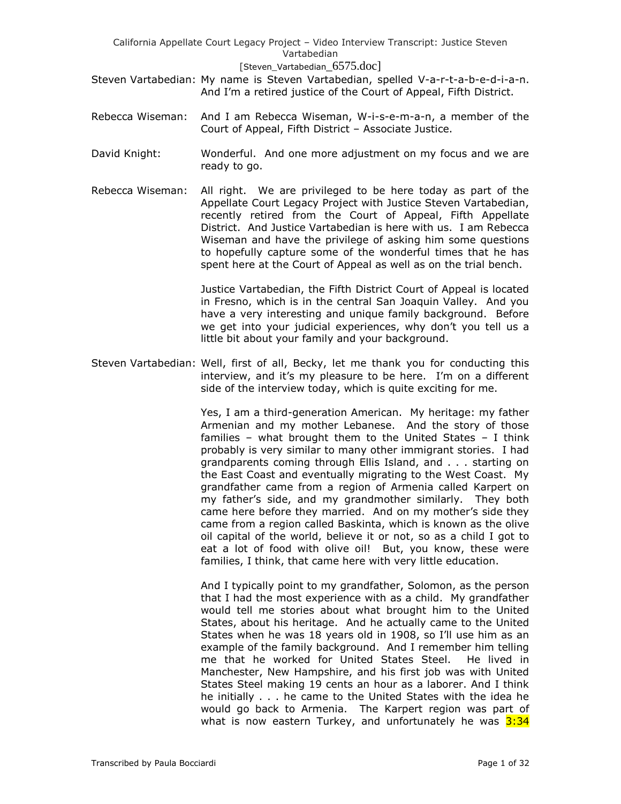- Steven Vartabedian: My name is Steven Vartabedian, spelled V-a-r-t-a-b-e-d-i-a-n. And I'm a retired justice of the Court of Appeal, Fifth District.
- Rebecca Wiseman: And I am Rebecca Wiseman, W-i-s-e-m-a-n, a member of the Court of Appeal, Fifth District – Associate Justice.
- David Knight: Wonderful. And one more adjustment on my focus and we are ready to go.
- Rebecca Wiseman: All right. We are privileged to be here today as part of the Appellate Court Legacy Project with Justice Steven Vartabedian, recently retired from the Court of Appeal, Fifth Appellate District. And Justice Vartabedian is here with us. I am Rebecca Wiseman and have the privilege of asking him some questions to hopefully capture some of the wonderful times that he has spent here at the Court of Appeal as well as on the trial bench.

Justice Vartabedian, the Fifth District Court of Appeal is located in Fresno, which is in the central San Joaquin Valley. And you have a very interesting and unique family background. Before we get into your judicial experiences, why don't you tell us a little bit about your family and your background.

Steven Vartabedian: Well, first of all, Becky, let me thank you for conducting this interview, and it's my pleasure to be here. I'm on a different side of the interview today, which is quite exciting for me.

> Yes, I am a third-generation American. My heritage: my father Armenian and my mother Lebanese. And the story of those families – what brought them to the United States – I think probably is very similar to many other immigrant stories. I had grandparents coming through Ellis Island, and . . . starting on the East Coast and eventually migrating to the West Coast. My grandfather came from a region of Armenia called Karpert on my father's side, and my grandmother similarly. They both came here before they married. And on my mother's side they came from a region called Baskinta, which is known as the olive oil capital of the world, believe it or not, so as a child I got to eat a lot of food with olive oil! But, you know, these were families, I think, that came here with very little education.

> And I typically point to my grandfather, Solomon, as the person that I had the most experience with as a child. My grandfather would tell me stories about what brought him to the United States, about his heritage. And he actually came to the United States when he was 18 years old in 1908, so I'll use him as an example of the family background. And I remember him telling me that he worked for United States Steel. He lived in Manchester, New Hampshire, and his first job was with United States Steel making 19 cents an hour as a laborer. And I think he initially . . . he came to the United States with the idea he would go back to Armenia. The Karpert region was part of what is now eastern Turkey, and unfortunately he was  $3:34$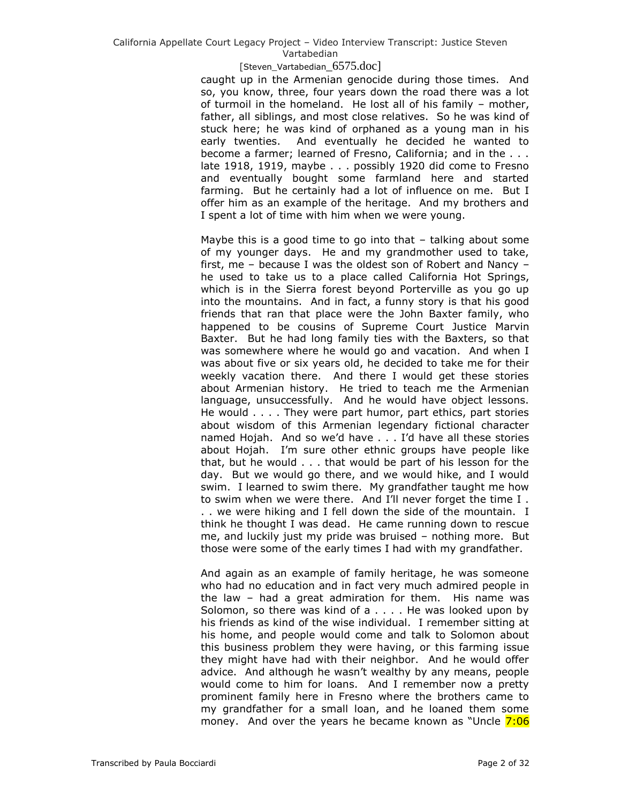### [Steven\_Vartabedian\_6575.doc]

caught up in the Armenian genocide during those times. And so, you know, three, four years down the road there was a lot of turmoil in the homeland. He lost all of his family – mother, father, all siblings, and most close relatives. So he was kind of stuck here; he was kind of orphaned as a young man in his early twenties. And eventually he decided he wanted to become a farmer; learned of Fresno, California; and in the . . . late 1918, 1919, maybe . . . possibly 1920 did come to Fresno and eventually bought some farmland here and started farming. But he certainly had a lot of influence on me. But I offer him as an example of the heritage. And my brothers and I spent a lot of time with him when we were young.

Maybe this is a good time to go into that – talking about some of my younger days. He and my grandmother used to take, first, me – because I was the oldest son of Robert and Nancy – he used to take us to a place called California Hot Springs, which is in the Sierra forest beyond Porterville as you go up into the mountains. And in fact, a funny story is that his good friends that ran that place were the John Baxter family, who happened to be cousins of Supreme Court Justice Marvin Baxter. But he had long family ties with the Baxters, so that was somewhere where he would go and vacation. And when I was about five or six years old, he decided to take me for their weekly vacation there. And there I would get these stories about Armenian history. He tried to teach me the Armenian language, unsuccessfully. And he would have object lessons. He would . . . . They were part humor, part ethics, part stories about wisdom of this Armenian legendary fictional character named Hojah. And so we'd have . . . I'd have all these stories about Hojah. I'm sure other ethnic groups have people like that, but he would . . . that would be part of his lesson for the day. But we would go there, and we would hike, and I would swim. I learned to swim there. My grandfather taught me how to swim when we were there. And I'll never forget the time I . . . we were hiking and I fell down the side of the mountain. I think he thought I was dead. He came running down to rescue me, and luckily just my pride was bruised – nothing more. But those were some of the early times I had with my grandfather.

And again as an example of family heritage, he was someone who had no education and in fact very much admired people in the law – had a great admiration for them. His name was Solomon, so there was kind of a . . . . He was looked upon by his friends as kind of the wise individual. I remember sitting at his home, and people would come and talk to Solomon about this business problem they were having, or this farming issue they might have had with their neighbor. And he would offer advice. And although he wasn't wealthy by any means, people would come to him for loans. And I remember now a pretty prominent family here in Fresno where the brothers came to my grandfather for a small loan, and he loaned them some money. And over the years he became known as "Uncle 7:06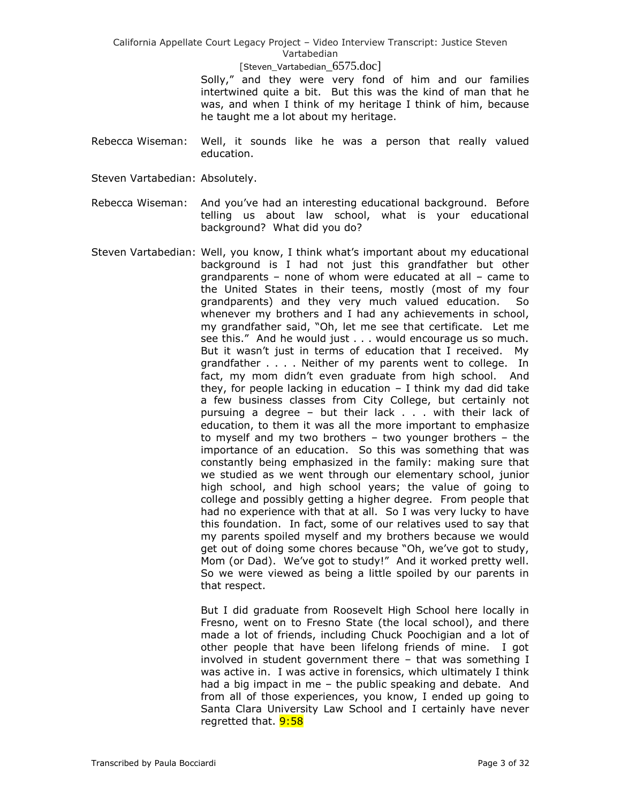[Steven\_Vartabedian\_6575.doc]

Solly," and they were very fond of him and our families intertwined quite a bit. But this was the kind of man that he was, and when I think of my heritage I think of him, because he taught me a lot about my heritage.

- Rebecca Wiseman: Well, it sounds like he was a person that really valued education.
- Steven Vartabedian: Absolutely.
- Rebecca Wiseman: And you've had an interesting educational background. Before telling us about law school, what is your educational background? What did you do?
- Steven Vartabedian: Well, you know, I think what's important about my educational background is I had not just this grandfather but other grandparents – none of whom were educated at all – came to the United States in their teens, mostly (most of my four grandparents) and they very much valued education. So whenever my brothers and I had any achievements in school, my grandfather said, "Oh, let me see that certificate. Let me see this." And he would just . . . would encourage us so much. But it wasn't just in terms of education that I received. My grandfather . . . . Neither of my parents went to college. In fact, my mom didn't even graduate from high school. And they, for people lacking in education – I think my dad did take a few business classes from City College, but certainly not pursuing a degree – but their lack . . . with their lack of education, to them it was all the more important to emphasize to myself and my two brothers – two younger brothers – the importance of an education. So this was something that was constantly being emphasized in the family: making sure that we studied as we went through our elementary school, junior high school, and high school years; the value of going to college and possibly getting a higher degree. From people that had no experience with that at all. So I was very lucky to have this foundation. In fact, some of our relatives used to say that my parents spoiled myself and my brothers because we would get out of doing some chores because "Oh, we've got to study, Mom (or Dad). We've got to study!" And it worked pretty well. So we were viewed as being a little spoiled by our parents in that respect.

But I did graduate from Roosevelt High School here locally in Fresno, went on to Fresno State (the local school), and there made a lot of friends, including Chuck Poochigian and a lot of other people that have been lifelong friends of mine. I got involved in student government there – that was something I was active in. I was active in forensics, which ultimately I think had a big impact in me – the public speaking and debate. And from all of those experiences, you know, I ended up going to Santa Clara University Law School and I certainly have never regretted that. **9:58**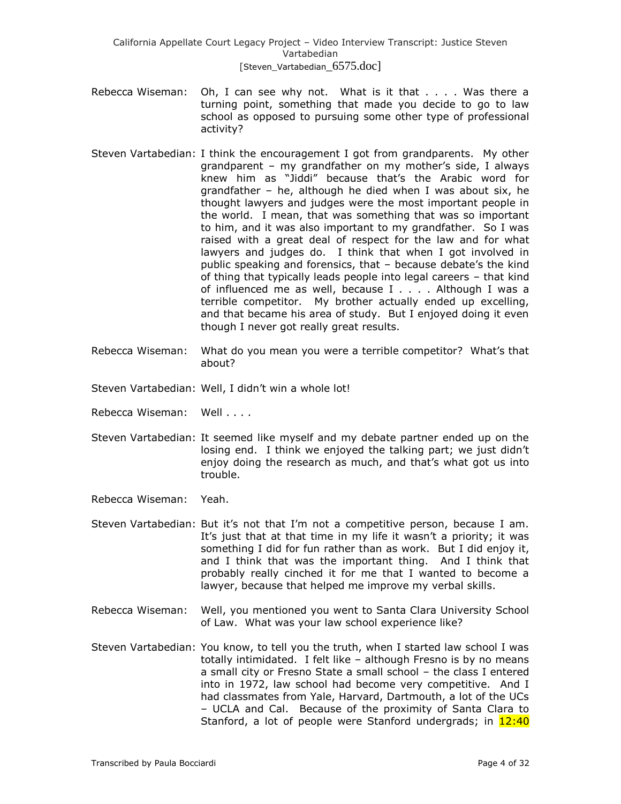## California Appellate Court Legacy Project – Video Interview Transcript: Justice Steven Vartabedian [Steven\_Vartabedian\_6575.doc]

- Rebecca Wiseman: Oh, I can see why not. What is it that . . . . Was there a turning point, something that made you decide to go to law school as opposed to pursuing some other type of professional activity?
- Steven Vartabedian: I think the encouragement I got from grandparents. My other grandparent – my grandfather on my mother's side, I always knew him as "Jiddi" because that's the Arabic word for grandfather – he, although he died when I was about six, he thought lawyers and judges were the most important people in the world. I mean, that was something that was so important to him, and it was also important to my grandfather. So I was raised with a great deal of respect for the law and for what lawyers and judges do. I think that when I got involved in public speaking and forensics, that – because debate's the kind of thing that typically leads people into legal careers – that kind of influenced me as well, because  $I \ldots$ . Although I was a terrible competitor. My brother actually ended up excelling, and that became his area of study. But I enjoyed doing it even though I never got really great results.
- Rebecca Wiseman: What do you mean you were a terrible competitor? What's that about?
- Steven Vartabedian: Well, I didn't win a whole lot!
- Rebecca Wiseman: Well . . . .
- Steven Vartabedian: It seemed like myself and my debate partner ended up on the losing end. I think we enjoyed the talking part; we just didn't enjoy doing the research as much, and that's what got us into trouble.
- Rebecca Wiseman: Yeah.
- Steven Vartabedian: But it's not that I'm not a competitive person, because I am. It's just that at that time in my life it wasn't a priority; it was something I did for fun rather than as work. But I did enjoy it, and I think that was the important thing. And I think that probably really cinched it for me that I wanted to become a lawyer, because that helped me improve my verbal skills.
- Rebecca Wiseman: Well, you mentioned you went to Santa Clara University School of Law. What was your law school experience like?
- Steven Vartabedian: You know, to tell you the truth, when I started law school I was totally intimidated. I felt like – although Fresno is by no means a small city or Fresno State a small school – the class I entered into in 1972, law school had become very competitive. And I had classmates from Yale, Harvard, Dartmouth, a lot of the UCs – UCLA and Cal. Because of the proximity of Santa Clara to Stanford, a lot of people were Stanford undergrads; in 12:40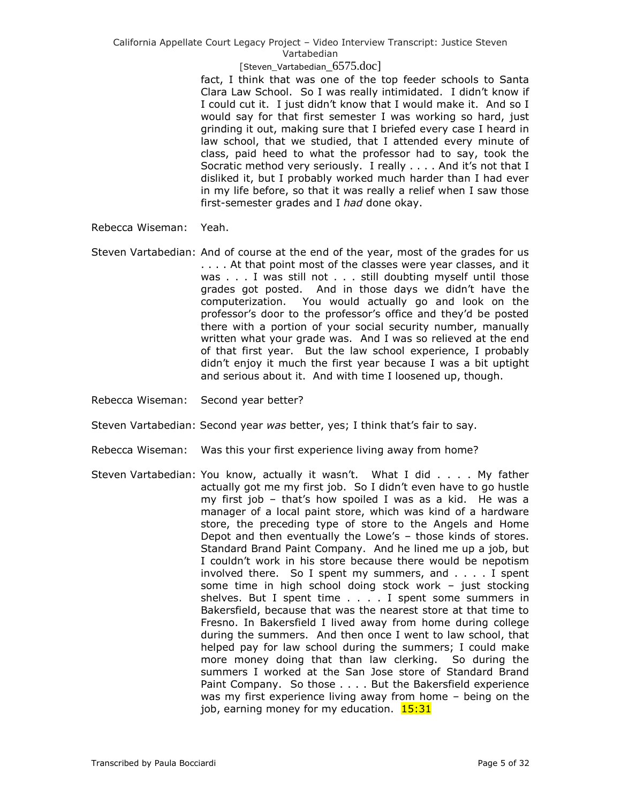## [Steven\_Vartabedian\_6575.doc]

fact, I think that was one of the top feeder schools to Santa Clara Law School. So I was really intimidated. I didn't know if I could cut it. I just didn't know that I would make it. And so I would say for that first semester I was working so hard, just grinding it out, making sure that I briefed every case I heard in law school, that we studied, that I attended every minute of class, paid heed to what the professor had to say, took the Socratic method very seriously. I really . . . . And it's not that I disliked it, but I probably worked much harder than I had ever in my life before, so that it was really a relief when I saw those first-semester grades and I *had* done okay.

Rebecca Wiseman: Yeah.

- Steven Vartabedian: And of course at the end of the year, most of the grades for us . . . . At that point most of the classes were year classes, and it was . . . I was still not . . . still doubting myself until those grades got posted. And in those days we didn't have the computerization. You would actually go and look on the professor's door to the professor's office and they'd be posted there with a portion of your social security number, manually written what your grade was. And I was so relieved at the end of that first year. But the law school experience, I probably didn't enjoy it much the first year because I was a bit uptight and serious about it. And with time I loosened up, though.
- Rebecca Wiseman: Second year better?
- Steven Vartabedian: Second year *was* better, yes; I think that's fair to say.
- Rebecca Wiseman: Was this your first experience living away from home?
- Steven Vartabedian: You know, actually it wasn't. What I did . . . . My father actually got me my first job. So I didn't even have to go hustle my first job – that's how spoiled I was as a kid. He was a manager of a local paint store, which was kind of a hardware store, the preceding type of store to the Angels and Home Depot and then eventually the Lowe's – those kinds of stores. Standard Brand Paint Company. And he lined me up a job, but I couldn't work in his store because there would be nepotism involved there. So I spent my summers, and . . . . I spent some time in high school doing stock work – just stocking shelves. But I spent time . . . . I spent some summers in Bakersfield, because that was the nearest store at that time to Fresno. In Bakersfield I lived away from home during college during the summers. And then once I went to law school, that helped pay for law school during the summers; I could make more money doing that than law clerking. So during the summers I worked at the San Jose store of Standard Brand Paint Company. So those . . . . But the Bakersfield experience was my first experience living away from home – being on the job, earning money for my education. 15:31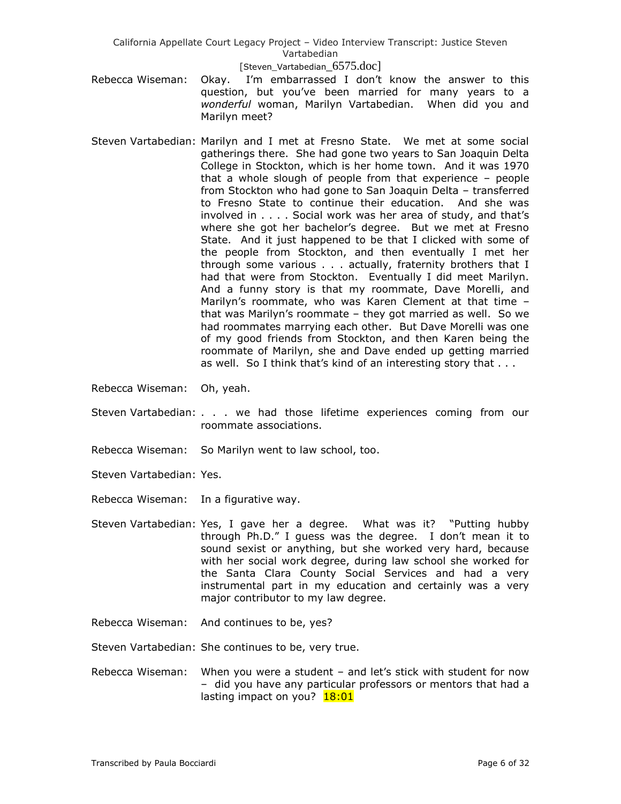### [Steven\_Vartabedian\_6575.doc]

- Rebecca Wiseman: Okay. I'm embarrassed I don't know the answer to this question, but you've been married for many years to a *wonderful* woman, Marilyn Vartabedian. When did you and Marilyn meet?
- Steven Vartabedian: Marilyn and I met at Fresno State. We met at some social gatherings there. She had gone two years to San Joaquin Delta College in Stockton, which is her home town. And it was 1970 that a whole slough of people from that experience – people from Stockton who had gone to San Joaquin Delta – transferred to Fresno State to continue their education. And she was involved in . . . . Social work was her area of study, and that's where she got her bachelor's degree. But we met at Fresno State. And it just happened to be that I clicked with some of the people from Stockton, and then eventually I met her through some various . . . actually, fraternity brothers that I had that were from Stockton. Eventually I did meet Marilyn. And a funny story is that my roommate, Dave Morelli, and Marilyn's roommate, who was Karen Clement at that time – that was Marilyn's roommate – they got married as well. So we had roommates marrying each other. But Dave Morelli was one of my good friends from Stockton, and then Karen being the roommate of Marilyn, she and Dave ended up getting married as well. So I think that's kind of an interesting story that . . .
- Rebecca Wiseman: Oh, yeah.
- Steven Vartabedian: . . . we had those lifetime experiences coming from our roommate associations.
- Rebecca Wiseman: So Marilyn went to law school, too.
- Steven Vartabedian: Yes.
- Rebecca Wiseman: In a figurative way.
- Steven Vartabedian: Yes, I gave her a degree. What was it? "Putting hubby through Ph.D." I guess was the degree. I don't mean it to sound sexist or anything, but she worked very hard, because with her social work degree, during law school she worked for the Santa Clara County Social Services and had a very instrumental part in my education and certainly was a very major contributor to my law degree.
- Rebecca Wiseman: And continues to be, yes?
- Steven Vartabedian: She continues to be, very true.
- Rebecca Wiseman: When you were a student and let's stick with student for now – did you have any particular professors or mentors that had a lasting impact on you? 18:01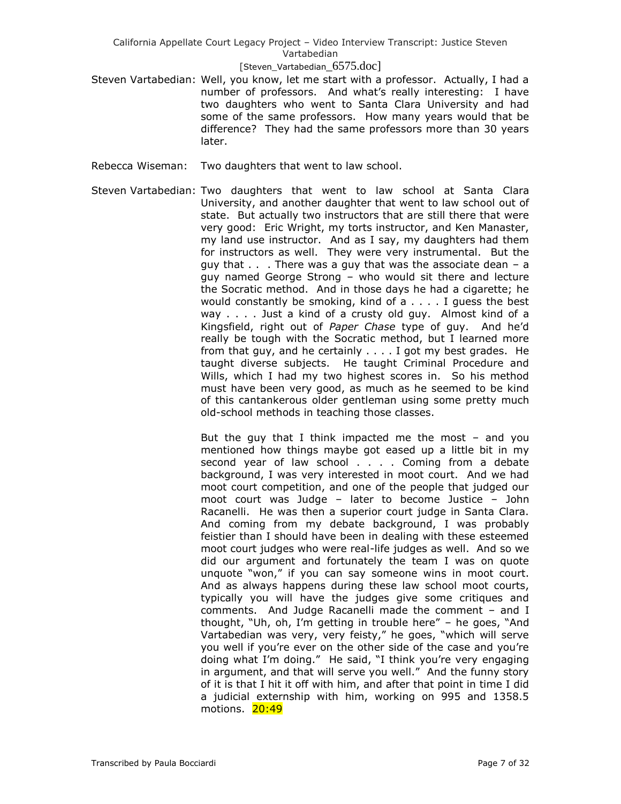## [Steven\_Vartabedian\_6575.doc]

- Steven Vartabedian: Well, you know, let me start with a professor. Actually, I had a number of professors. And what's really interesting: I have two daughters who went to Santa Clara University and had some of the same professors. How many years would that be difference? They had the same professors more than 30 years later.
- Rebecca Wiseman: Two daughters that went to law school.
- Steven Vartabedian: Two daughters that went to law school at Santa Clara University, and another daughter that went to law school out of state. But actually two instructors that are still there that were very good: Eric Wright, my torts instructor, and Ken Manaster, my land use instructor. And as I say, my daughters had them for instructors as well. They were very instrumental. But the guy that  $\ldots$ . There was a guy that was the associate dean  $-$  a guy named George Strong – who would sit there and lecture the Socratic method. And in those days he had a cigarette; he would constantly be smoking, kind of a . . . . I guess the best way . . . . Just a kind of a crusty old guy. Almost kind of a Kingsfield, right out of *Paper Chase* type of guy. And he'd really be tough with the Socratic method, but I learned more from that guy, and he certainly . . . . I got my best grades. He taught diverse subjects. He taught Criminal Procedure and Wills, which I had my two highest scores in. So his method must have been very good, as much as he seemed to be kind of this cantankerous older gentleman using some pretty much old-school methods in teaching those classes.

But the guy that I think impacted me the most – and you mentioned how things maybe got eased up a little bit in my second year of law school . . . . Coming from a debate background, I was very interested in moot court. And we had moot court competition, and one of the people that judged our moot court was Judge – later to become Justice – John Racanelli. He was then a superior court judge in Santa Clara. And coming from my debate background, I was probably feistier than I should have been in dealing with these esteemed moot court judges who were real-life judges as well. And so we did our argument and fortunately the team I was on quote unquote "won," if you can say someone wins in moot court. And as always happens during these law school moot courts, typically you will have the judges give some critiques and comments. And Judge Racanelli made the comment – and I thought, "Uh, oh, I'm getting in trouble here" – he goes, "And Vartabedian was very, very feisty," he goes, "which will serve you well if you're ever on the other side of the case and you're doing what I'm doing." He said, "I think you're very engaging in argument, and that will serve you well." And the funny story of it is that I hit it off with him, and after that point in time I did a judicial externship with him, working on 995 and 1358.5 motions. 20:49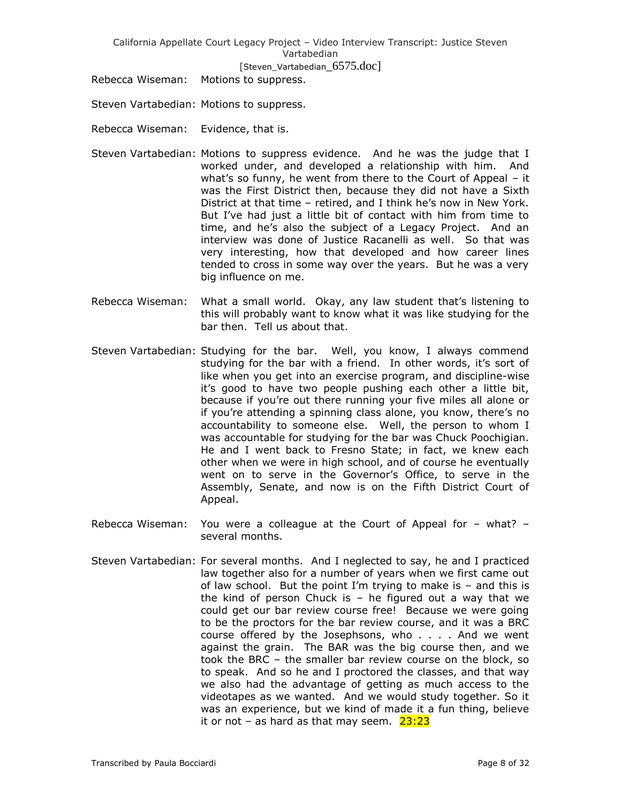California Appellate Court Legacy Project – Video Interview Transcript: Justice Steven Vartabedian [Steven\_Vartabedian\_6575.doc]

Rebecca Wiseman: Motions to suppress.

Steven Vartabedian: Motions to suppress.

Rebecca Wiseman: Evidence, that is.

- Steven Vartabedian: Motions to suppress evidence. And he was the judge that I worked under, and developed a relationship with him. And what's so funny, he went from there to the Court of Appeal – it was the First District then, because they did not have a Sixth District at that time – retired, and I think he's now in New York. But I've had just a little bit of contact with him from time to time, and he's also the subject of a Legacy Project. And an interview was done of Justice Racanelli as well. So that was very interesting, how that developed and how career lines tended to cross in some way over the years. But he was a very big influence on me.
- Rebecca Wiseman: What a small world. Okay, any law student that's listening to this will probably want to know what it was like studying for the bar then. Tell us about that.
- Steven Vartabedian: Studying for the bar. Well, you know, I always commend studying for the bar with a friend. In other words, it's sort of like when you get into an exercise program, and discipline-wise it's good to have two people pushing each other a little bit, because if you're out there running your five miles all alone or if you're attending a spinning class alone, you know, there's no accountability to someone else. Well, the person to whom I was accountable for studying for the bar was Chuck Poochigian. He and I went back to Fresno State; in fact, we knew each other when we were in high school, and of course he eventually went on to serve in the Governor's Office, to serve in the Assembly, Senate, and now is on the Fifth District Court of Appeal.
- Rebecca Wiseman: You were a colleague at the Court of Appeal for what? several months.
- Steven Vartabedian: For several months. And I neglected to say, he and I practiced law together also for a number of years when we first came out of law school. But the point I'm trying to make is  $-$  and this is the kind of person Chuck is  $-$  he figured out a way that we could get our bar review course free! Because we were going to be the proctors for the bar review course, and it was a BRC course offered by the Josephsons, who . . . . And we went against the grain. The BAR was the big course then, and we took the BRC – the smaller bar review course on the block, so to speak. And so he and I proctored the classes, and that way we also had the advantage of getting as much access to the videotapes as we wanted. And we would study together. So it was an experience, but we kind of made it a fun thing, believe it or not – as hard as that may seem.  $23:23$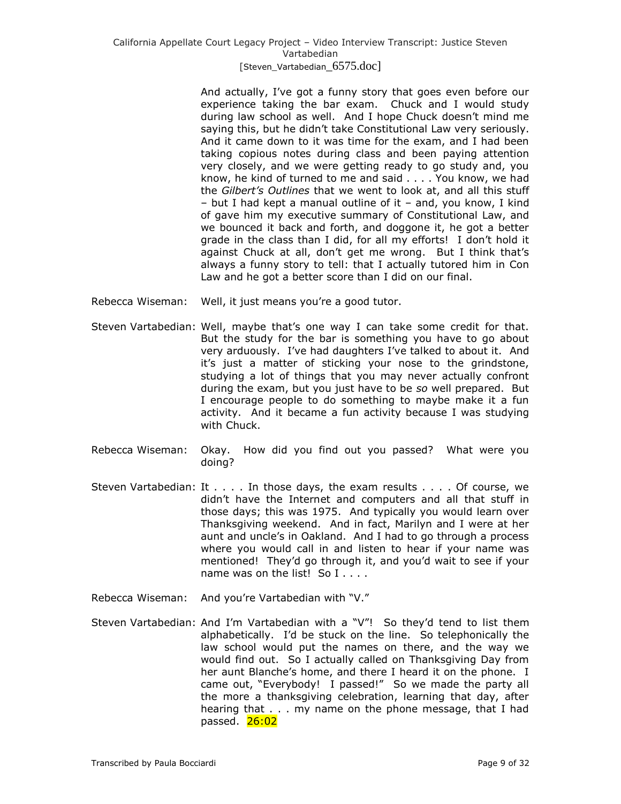# California Appellate Court Legacy Project – Video Interview Transcript: Justice Steven Vartabedian [Steven\_Vartabedian\_6575.doc]

And actually, I've got a funny story that goes even before our experience taking the bar exam. Chuck and I would study during law school as well. And I hope Chuck doesn't mind me saying this, but he didn't take Constitutional Law very seriously. And it came down to it was time for the exam, and I had been taking copious notes during class and been paying attention very closely, and we were getting ready to go study and, you know, he kind of turned to me and said . . . . You know, we had the *Gilbert's Outlines* that we went to look at, and all this stuff – but I had kept a manual outline of it – and, you know, I kind of gave him my executive summary of Constitutional Law, and we bounced it back and forth, and doggone it, he got a better grade in the class than I did, for all my efforts! I don't hold it against Chuck at all, don't get me wrong. But I think that's always a funny story to tell: that I actually tutored him in Con Law and he got a better score than I did on our final.

Rebecca Wiseman: Well, it just means you're a good tutor.

- Steven Vartabedian: Well, maybe that's one way I can take some credit for that. But the study for the bar is something you have to go about very arduously. I've had daughters I've talked to about it. And it's just a matter of sticking your nose to the grindstone, studying a lot of things that you may never actually confront during the exam, but you just have to be *so* well prepared. But I encourage people to do something to maybe make it a fun activity. And it became a fun activity because I was studying with Chuck.
- Rebecca Wiseman: Okay. How did you find out you passed? What were you doing?
- Steven Vartabedian: It . . . . In those days, the exam results . . . . Of course, we didn't have the Internet and computers and all that stuff in those days; this was 1975. And typically you would learn over Thanksgiving weekend. And in fact, Marilyn and I were at her aunt and uncle's in Oakland. And I had to go through a process where you would call in and listen to hear if your name was mentioned! They'd go through it, and you'd wait to see if your name was on the list! So I . . . .
- Rebecca Wiseman: And you're Vartabedian with "V."
- Steven Vartabedian: And I'm Vartabedian with a "V"! So they'd tend to list them alphabetically. I'd be stuck on the line. So telephonically the law school would put the names on there, and the way we would find out. So I actually called on Thanksgiving Day from her aunt Blanche's home, and there I heard it on the phone. I came out, "Everybody! I passed!" So we made the party all the more a thanksgiving celebration, learning that day, after hearing that . . . my name on the phone message, that I had passed. 26:02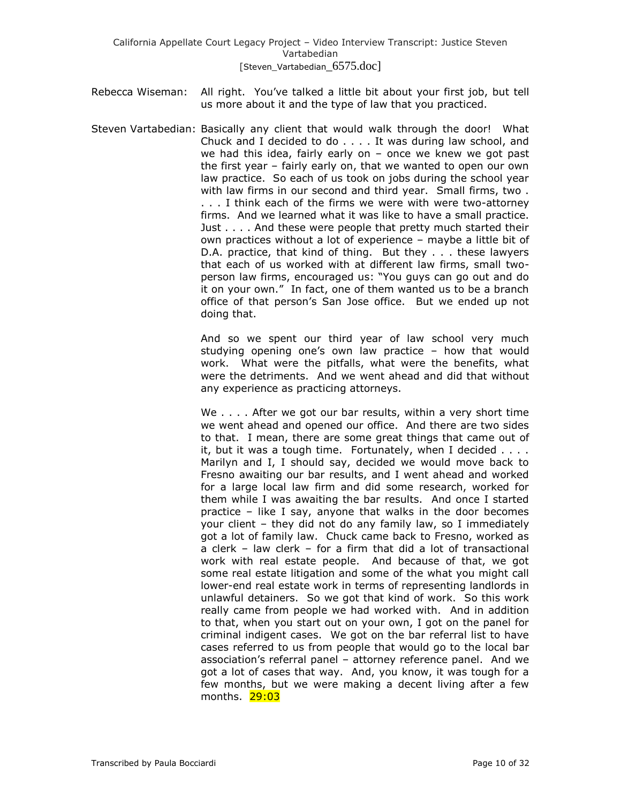- Rebecca Wiseman: All right. You've talked a little bit about your first job, but tell us more about it and the type of law that you practiced.
- Steven Vartabedian: Basically any client that would walk through the door! What Chuck and I decided to do . . . . It was during law school, and we had this idea, fairly early on – once we knew we got past the first year – fairly early on, that we wanted to open our own law practice. So each of us took on jobs during the school year with law firms in our second and third year. Small firms, two . . . . I think each of the firms we were with were two-attorney firms. And we learned what it was like to have a small practice. Just . . . . And these were people that pretty much started their own practices without a lot of experience – maybe a little bit of D.A. practice, that kind of thing. But they . . . these lawyers that each of us worked with at different law firms, small twoperson law firms, encouraged us: "You guys can go out and do it on your own." In fact, one of them wanted us to be a branch office of that person's San Jose office. But we ended up not doing that.

And so we spent our third year of law school very much studying opening one's own law practice – how that would work. What were the pitfalls, what were the benefits, what were the detriments. And we went ahead and did that without any experience as practicing attorneys.

We . . . . After we got our bar results, within a very short time we went ahead and opened our office. And there are two sides to that. I mean, there are some great things that came out of it, but it was a tough time. Fortunately, when I decided . . . . Marilyn and I, I should say, decided we would move back to Fresno awaiting our bar results, and I went ahead and worked for a large local law firm and did some research, worked for them while I was awaiting the bar results. And once I started practice – like I say, anyone that walks in the door becomes your client – they did not do any family law, so I immediately got a lot of family law. Chuck came back to Fresno, worked as a clerk – law clerk – for a firm that did a lot of transactional work with real estate people. And because of that, we got some real estate litigation and some of the what you might call lower-end real estate work in terms of representing landlords in unlawful detainers. So we got that kind of work. So this work really came from people we had worked with. And in addition to that, when you start out on your own, I got on the panel for criminal indigent cases. We got on the bar referral list to have cases referred to us from people that would go to the local bar association's referral panel – attorney reference panel. And we got a lot of cases that way. And, you know, it was tough for a few months, but we were making a decent living after a few months. 29:03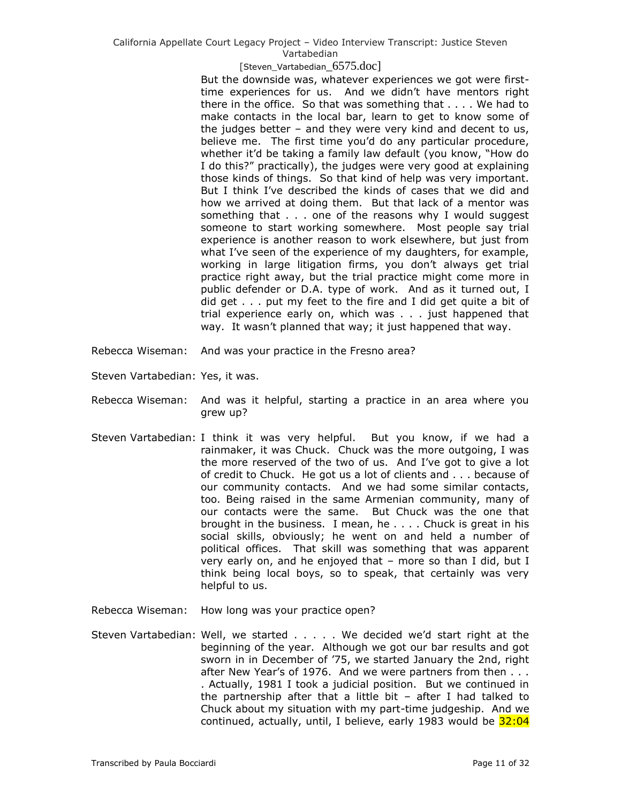## [Steven\_Vartabedian\_6575.doc]

But the downside was, whatever experiences we got were firsttime experiences for us. And we didn't have mentors right there in the office. So that was something that . . . . We had to make contacts in the local bar, learn to get to know some of the judges better – and they were very kind and decent to us, believe me. The first time you'd do any particular procedure, whether it'd be taking a family law default (you know, "How do I do this?" practically), the judges were very good at explaining those kinds of things. So that kind of help was very important. But I think I've described the kinds of cases that we did and how we arrived at doing them. But that lack of a mentor was something that . . . one of the reasons why I would suggest someone to start working somewhere. Most people say trial experience is another reason to work elsewhere, but just from what I've seen of the experience of my daughters, for example, working in large litigation firms, you don't always get trial practice right away, but the trial practice might come more in public defender or D.A. type of work. And as it turned out, I did get . . . put my feet to the fire and I did get quite a bit of trial experience early on, which was . . . just happened that way. It wasn't planned that way; it just happened that way.

- Rebecca Wiseman: And was your practice in the Fresno area?
- Steven Vartabedian: Yes, it was.
- Rebecca Wiseman: And was it helpful, starting a practice in an area where you grew up?
- Steven Vartabedian: I think it was very helpful. But you know, if we had a rainmaker, it was Chuck. Chuck was the more outgoing, I was the more reserved of the two of us. And I've got to give a lot of credit to Chuck. He got us a lot of clients and . . . because of our community contacts. And we had some similar contacts, too. Being raised in the same Armenian community, many of our contacts were the same. But Chuck was the one that brought in the business. I mean, he . . . . Chuck is great in his social skills, obviously; he went on and held a number of political offices. That skill was something that was apparent very early on, and he enjoyed that – more so than I did, but I think being local boys, so to speak, that certainly was very helpful to us.
- Rebecca Wiseman: How long was your practice open?
- Steven Vartabedian: Well, we started . . . . . We decided we'd start right at the beginning of the year. Although we got our bar results and got sworn in in December of '75, we started January the 2nd, right after New Year's of 1976. And we were partners from then . . . . Actually, 1981 I took a judicial position. But we continued in the partnership after that a little bit – after I had talked to Chuck about my situation with my part-time judgeship. And we continued, actually, until, I believe, early 1983 would be 32:04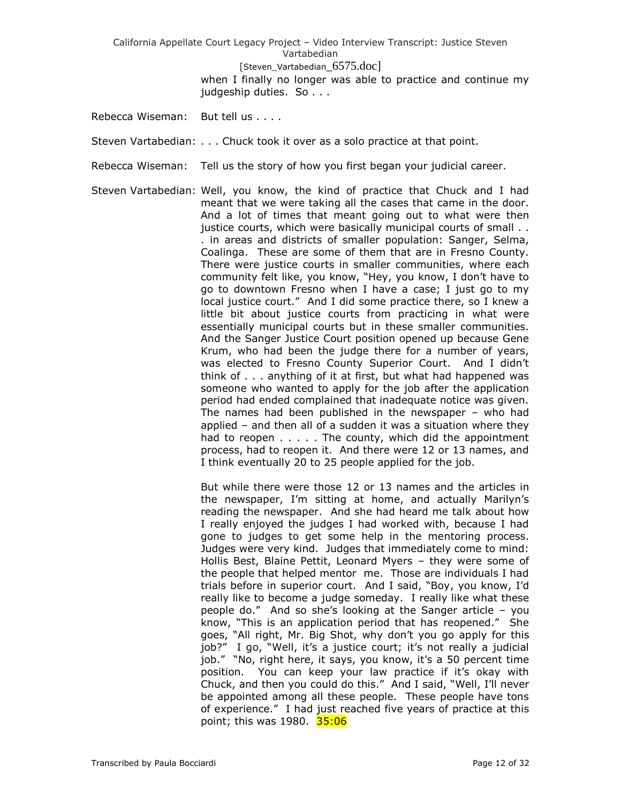California Appellate Court Legacy Project – Video Interview Transcript: Justice Steven Vartabedian [Steven\_Vartabedian\_6575.doc] when I finally no longer was able to practice and continue my

Rebecca Wiseman: But tell us . . . .

Steven Vartabedian: . . . Chuck took it over as a solo practice at that point.

judgeship duties. So . . .

- Rebecca Wiseman: Tell us the story of how you first began your judicial career.
- Steven Vartabedian: Well, you know, the kind of practice that Chuck and I had meant that we were taking all the cases that came in the door. And a lot of times that meant going out to what were then justice courts, which were basically municipal courts of small . . . in areas and districts of smaller population: Sanger, Selma, Coalinga. These are some of them that are in Fresno County. There were justice courts in smaller communities, where each community felt like, you know, "Hey, you know, I don't have to go to downtown Fresno when I have a case; I just go to my local justice court." And I did some practice there, so I knew a little bit about justice courts from practicing in what were essentially municipal courts but in these smaller communities. And the Sanger Justice Court position opened up because Gene Krum, who had been the judge there for a number of years, was elected to Fresno County Superior Court. And I didn't think of . . . anything of it at first, but what had happened was someone who wanted to apply for the job after the application period had ended complained that inadequate notice was given. The names had been published in the newspaper – who had applied – and then all of a sudden it was a situation where they had to reopen . . . . . The county, which did the appointment process, had to reopen it. And there were 12 or 13 names, and I think eventually 20 to 25 people applied for the job.

But while there were those 12 or 13 names and the articles in the newspaper, I'm sitting at home, and actually Marilyn's reading the newspaper. And she had heard me talk about how I really enjoyed the judges I had worked with, because I had gone to judges to get some help in the mentoring process. Judges were very kind. Judges that immediately come to mind: Hollis Best, Blaine Pettit, Leonard Myers – they were some of the people that helped mentor me. Those are individuals I had trials before in superior court. And I said, "Boy, you know, I'd really like to become a judge someday. I really like what these people do." And so she's looking at the Sanger article – you know, "This is an application period that has reopened." She goes, "All right, Mr. Big Shot, why don't you go apply for this job?" I go, "Well, it's a justice court; it's not really a judicial job." "No, right here, it says, you know, it's a 50 percent time position. You can keep your law practice if it's okay with Chuck, and then you could do this." And I said, "Well, I'll never be appointed among all these people. These people have tons of experience." I had just reached five years of practice at this point; this was 1980. 35:06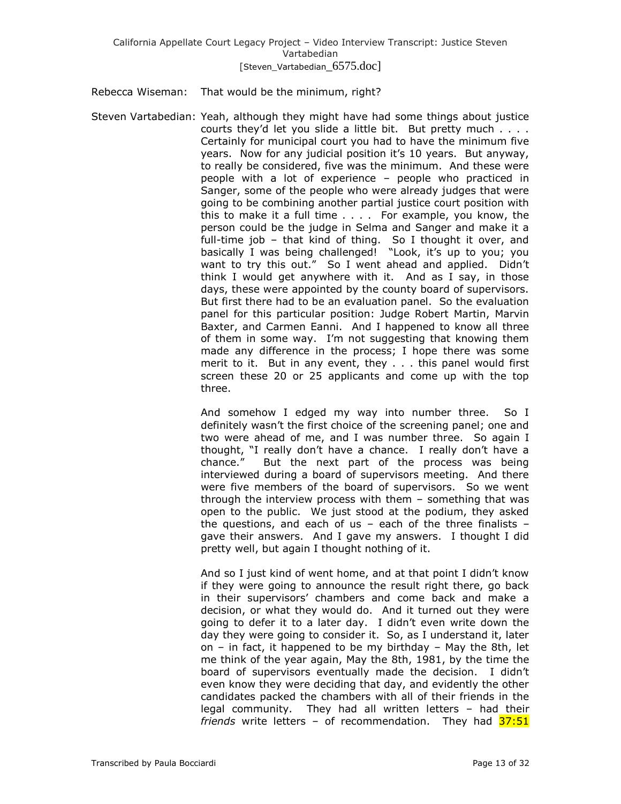Rebecca Wiseman: That would be the minimum, right?

Steven Vartabedian: Yeah, although they might have had some things about justice courts they'd let you slide a little bit. But pretty much . . . . Certainly for municipal court you had to have the minimum five years. Now for any judicial position it's 10 years. But anyway, to really be considered, five was the minimum. And these were people with a lot of experience – people who practiced in Sanger, some of the people who were already judges that were going to be combining another partial justice court position with this to make it a full time . . . . For example, you know, the person could be the judge in Selma and Sanger and make it a full-time job – that kind of thing. So I thought it over, and basically I was being challenged! "Look, it's up to you; you want to try this out." So I went ahead and applied. Didn't think I would get anywhere with it. And as I say, in those days, these were appointed by the county board of supervisors. But first there had to be an evaluation panel. So the evaluation panel for this particular position: Judge Robert Martin, Marvin Baxter, and Carmen Eanni. And I happened to know all three of them in some way. I'm not suggesting that knowing them made any difference in the process; I hope there was some merit to it. But in any event, they . . . this panel would first screen these 20 or 25 applicants and come up with the top three.

> And somehow I edged my way into number three. So I definitely wasn't the first choice of the screening panel; one and two were ahead of me, and I was number three. So again I thought, "I really don't have a chance. I really don't have a chance." But the next part of the process was being interviewed during a board of supervisors meeting. And there were five members of the board of supervisors. So we went through the interview process with them – something that was open to the public. We just stood at the podium, they asked the questions, and each of us – each of the three finalists – gave their answers. And I gave my answers. I thought I did pretty well, but again I thought nothing of it.

> And so I just kind of went home, and at that point I didn't know if they were going to announce the result right there, go back in their supervisors' chambers and come back and make a decision, or what they would do. And it turned out they were going to defer it to a later day. I didn't even write down the day they were going to consider it. So, as I understand it, later on – in fact, it happened to be my birthday – May the 8th, let me think of the year again, May the 8th, 1981, by the time the board of supervisors eventually made the decision. I didn't even know they were deciding that day, and evidently the other candidates packed the chambers with all of their friends in the legal community. They had all written letters – had their *friends* write letters – of recommendation. They had 37:51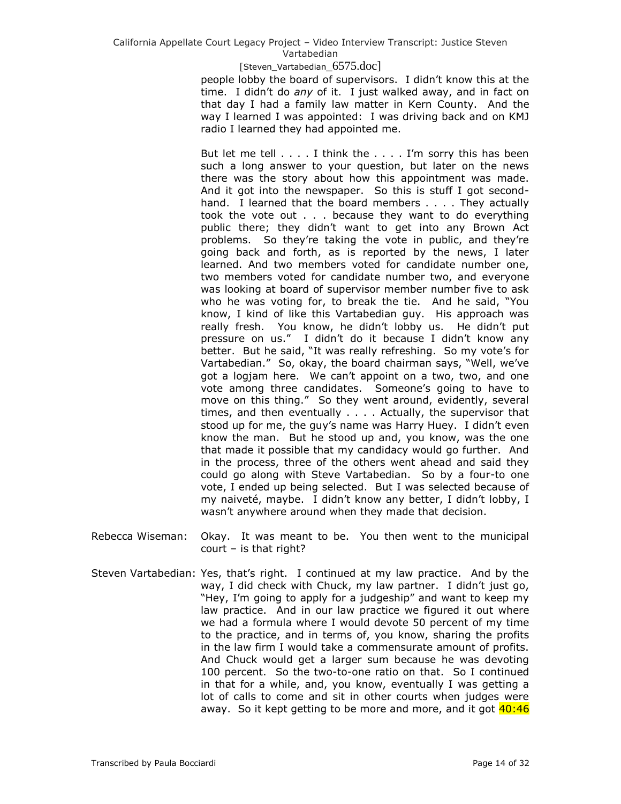### [Steven\_Vartabedian\_6575.doc]

people lobby the board of supervisors. I didn't know this at the time. I didn't do *any* of it. I just walked away, and in fact on that day I had a family law matter in Kern County. And the way I learned I was appointed: I was driving back and on KMJ radio I learned they had appointed me.

But let me tell . . . . I think the . . . . I'm sorry this has been such a long answer to your question, but later on the news there was the story about how this appointment was made. And it got into the newspaper. So this is stuff I got secondhand. I learned that the board members . . . . They actually took the vote out . . . because they want to do everything public there; they didn't want to get into any Brown Act problems. So they're taking the vote in public, and they're going back and forth, as is reported by the news, I later learned. And two members voted for candidate number one, two members voted for candidate number two, and everyone was looking at board of supervisor member number five to ask who he was voting for, to break the tie. And he said, "You know, I kind of like this Vartabedian guy. His approach was really fresh. You know, he didn't lobby us. He didn't put pressure on us." I didn't do it because I didn't know any better. But he said, "It was really refreshing. So my vote's for Vartabedian." So, okay, the board chairman says, "Well, we've got a logjam here. We can't appoint on a two, two, and one vote among three candidates. Someone's going to have to move on this thing." So they went around, evidently, several times, and then eventually . . . . Actually, the supervisor that stood up for me, the guy's name was Harry Huey. I didn't even know the man. But he stood up and, you know, was the one that made it possible that my candidacy would go further. And in the process, three of the others went ahead and said they could go along with Steve Vartabedian. So by a four-to one vote, I ended up being selected. But I was selected because of my naiveté, maybe. I didn't know any better, I didn't lobby, I wasn't anywhere around when they made that decision.

- Rebecca Wiseman: Okay. It was meant to be. You then went to the municipal  $court - is that right?$
- Steven Vartabedian: Yes, that's right. I continued at my law practice. And by the way, I did check with Chuck, my law partner. I didn't just go, "Hey, I'm going to apply for a judgeship" and want to keep my law practice. And in our law practice we figured it out where we had a formula where I would devote 50 percent of my time to the practice, and in terms of, you know, sharing the profits in the law firm I would take a commensurate amount of profits. And Chuck would get a larger sum because he was devoting 100 percent. So the two-to-one ratio on that. So I continued in that for a while, and, you know, eventually I was getting a lot of calls to come and sit in other courts when judges were away. So it kept getting to be more and more, and it got  $40:46$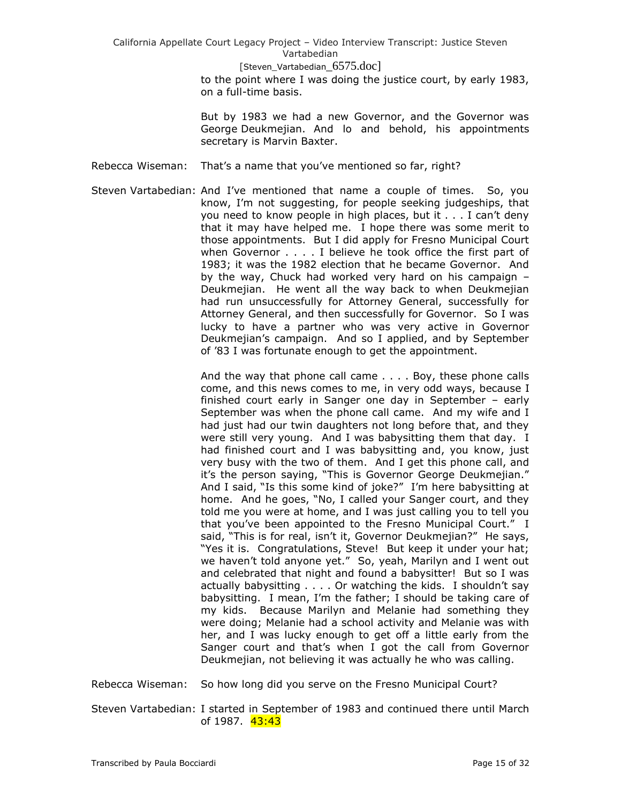[Steven\_Vartabedian\_6575.doc] to the point where I was doing the justice court, by early 1983, on a full-time basis.

But by 1983 we had a new Governor, and the Governor was George Deukmejian. And lo and behold, his appointments secretary is Marvin Baxter.

- Rebecca Wiseman: That's a name that you've mentioned so far, right?
- Steven Vartabedian: And I've mentioned that name a couple of times. So, you know, I'm not suggesting, for people seeking judgeships, that you need to know people in high places, but it . . . I can't deny that it may have helped me. I hope there was some merit to those appointments. But I did apply for Fresno Municipal Court when Governor . . . . I believe he took office the first part of 1983; it was the 1982 election that he became Governor. And by the way, Chuck had worked very hard on his campaign – Deukmejian. He went all the way back to when Deukmejian had run unsuccessfully for Attorney General, successfully for Attorney General, and then successfully for Governor. So I was lucky to have a partner who was very active in Governor Deukmejian's campaign. And so I applied, and by September of '83 I was fortunate enough to get the appointment.

And the way that phone call came . . . . Boy, these phone calls come, and this news comes to me, in very odd ways, because I finished court early in Sanger one day in September – early September was when the phone call came. And my wife and I had just had our twin daughters not long before that, and they were still very young. And I was babysitting them that day. I had finished court and I was babysitting and, you know, just very busy with the two of them. And I get this phone call, and it's the person saying, "This is Governor George Deukmejian." And I said, "Is this some kind of joke?" I'm here babysitting at home. And he goes, "No, I called your Sanger court, and they told me you were at home, and I was just calling you to tell you that you've been appointed to the Fresno Municipal Court." I said, "This is for real, isn't it, Governor Deukmejian?" He says, "Yes it is. Congratulations, Steve! But keep it under your hat; we haven't told anyone yet." So, yeah, Marilyn and I went out and celebrated that night and found a babysitter! But so I was actually babysitting . . . . Or watching the kids. I shouldn't say babysitting. I mean, I'm the father; I should be taking care of my kids. Because Marilyn and Melanie had something they were doing; Melanie had a school activity and Melanie was with her, and I was lucky enough to get off a little early from the Sanger court and that's when I got the call from Governor Deukmejian, not believing it was actually he who was calling.

- Rebecca Wiseman: So how long did you serve on the Fresno Municipal Court?
- Steven Vartabedian: I started in September of 1983 and continued there until March of 1987. <mark>43:43</mark>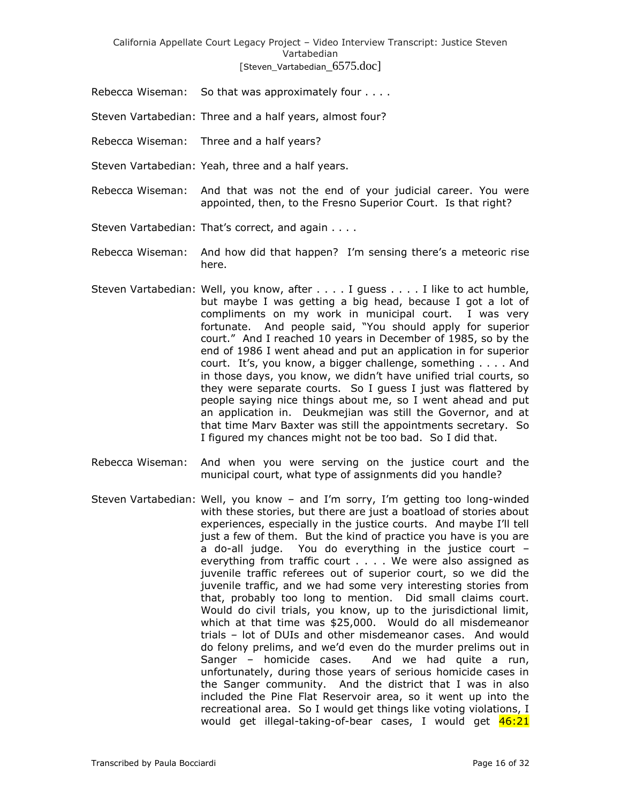California Appellate Court Legacy Project – Video Interview Transcript: Justice Steven Vartabedian [Steven\_Vartabedian\_6575.doc]

- Rebecca Wiseman: So that was approximately four . . . .
- Steven Vartabedian: Three and a half years, almost four?
- Rebecca Wiseman: Three and a half years?
- Steven Vartabedian: Yeah, three and a half years.
- Rebecca Wiseman: And that was not the end of your judicial career. You were appointed, then, to the Fresno Superior Court. Is that right?
- Steven Vartabedian: That's correct, and again . . . .
- Rebecca Wiseman: And how did that happen? I'm sensing there's a meteoric rise here.
- Steven Vartabedian: Well, you know, after . . . . I guess . . . . I like to act humble, but maybe I was getting a big head, because I got a lot of compliments on my work in municipal court. I was very fortunate. And people said, "You should apply for superior court." And I reached 10 years in December of 1985, so by the end of 1986 I went ahead and put an application in for superior court. It's, you know, a bigger challenge, something . . . . And in those days, you know, we didn't have unified trial courts, so they were separate courts. So I guess I just was flattered by people saying nice things about me, so I went ahead and put an application in. Deukmejian was still the Governor, and at that time Marv Baxter was still the appointments secretary. So I figured my chances might not be too bad. So I did that.
- Rebecca Wiseman: And when you were serving on the justice court and the municipal court, what type of assignments did you handle?
- Steven Vartabedian: Well, you know and I'm sorry, I'm getting too long-winded with these stories, but there are just a boatload of stories about experiences, especially in the justice courts. And maybe I'll tell just a few of them. But the kind of practice you have is you are a do-all judge. You do everything in the justice court – everything from traffic court . . . . We were also assigned as juvenile traffic referees out of superior court, so we did the juvenile traffic, and we had some very interesting stories from that, probably too long to mention. Did small claims court. Would do civil trials, you know, up to the jurisdictional limit, which at that time was \$25,000. Would do all misdemeanor trials – lot of DUIs and other misdemeanor cases. And would do felony prelims, and we'd even do the murder prelims out in Sanger – homicide cases. And we had quite a run, unfortunately, during those years of serious homicide cases in the Sanger community. And the district that I was in also included the Pine Flat Reservoir area, so it went up into the recreational area. So I would get things like voting violations, I would get illegal-taking-of-bear cases, I would get 46:21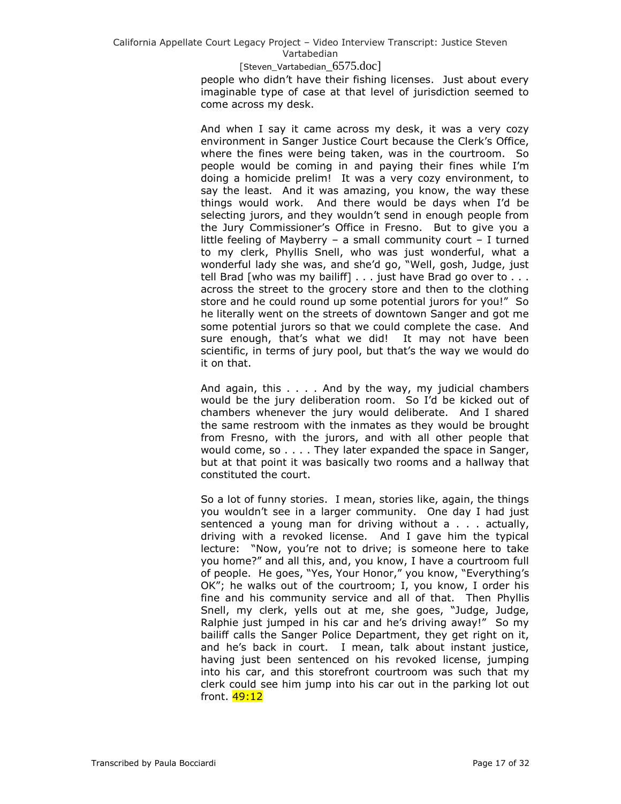#### [Steven\_Vartabedian\_6575.doc]

people who didn't have their fishing licenses. Just about every imaginable type of case at that level of jurisdiction seemed to come across my desk.

And when I say it came across my desk, it was a very cozy environment in Sanger Justice Court because the Clerk's Office, where the fines were being taken, was in the courtroom. So people would be coming in and paying their fines while I'm doing a homicide prelim! It was a very cozy environment, to say the least. And it was amazing, you know, the way these things would work. And there would be days when I'd be selecting jurors, and they wouldn't send in enough people from the Jury Commissioner's Office in Fresno. But to give you a little feeling of Mayberry – a small community court – I turned to my clerk, Phyllis Snell, who was just wonderful, what a wonderful lady she was, and she'd go, "Well, gosh, Judge, just tell Brad [who was my bailiff] . . . just have Brad go over to . . . across the street to the grocery store and then to the clothing store and he could round up some potential jurors for you!" So he literally went on the streets of downtown Sanger and got me some potential jurors so that we could complete the case. And sure enough, that's what we did! It may not have been scientific, in terms of jury pool, but that's the way we would do it on that.

And again, this . . . . And by the way, my judicial chambers would be the jury deliberation room. So I'd be kicked out of chambers whenever the jury would deliberate. And I shared the same restroom with the inmates as they would be brought from Fresno, with the jurors, and with all other people that would come, so . . . . They later expanded the space in Sanger, but at that point it was basically two rooms and a hallway that constituted the court.

So a lot of funny stories. I mean, stories like, again, the things you wouldn't see in a larger community. One day I had just sentenced a young man for driving without a . . . actually, driving with a revoked license. And I gave him the typical lecture: "Now, you're not to drive; is someone here to take you home?" and all this, and, you know, I have a courtroom full of people. He goes, "Yes, Your Honor," you know, "Everything's OK"; he walks out of the courtroom; I, you know, I order his fine and his community service and all of that. Then Phyllis Snell, my clerk, yells out at me, she goes, "Judge, Judge, Ralphie just jumped in his car and he's driving away!" So my bailiff calls the Sanger Police Department, they get right on it, and he's back in court. I mean, talk about instant justice, having just been sentenced on his revoked license, jumping into his car, and this storefront courtroom was such that my clerk could see him jump into his car out in the parking lot out front. 49:12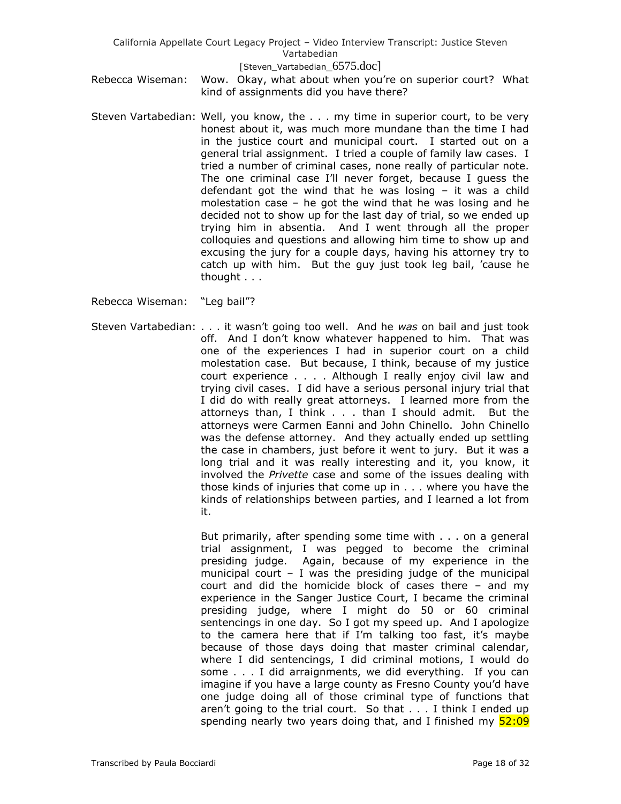## [Steven\_Vartabedian\_6575.doc]

- Rebecca Wiseman: Wow. Okay, what about when you're on superior court? What kind of assignments did you have there?
- Steven Vartabedian: Well, you know, the . . . my time in superior court, to be very honest about it, was much more mundane than the time I had in the justice court and municipal court. I started out on a general trial assignment. I tried a couple of family law cases. I tried a number of criminal cases, none really of particular note. The one criminal case I'll never forget, because I guess the defendant got the wind that he was losing – it was a child molestation case – he got the wind that he was losing and he decided not to show up for the last day of trial, so we ended up trying him in absentia. And I went through all the proper colloquies and questions and allowing him time to show up and excusing the jury for a couple days, having his attorney try to catch up with him. But the guy just took leg bail, 'cause he thought . . .
- Rebecca Wiseman: "Leg bail"?
- Steven Vartabedian: . . . it wasn't going too well. And he *was* on bail and just took off. And I don't know whatever happened to him. That was one of the experiences I had in superior court on a child molestation case. But because, I think, because of my justice court experience . . . . Although I really enjoy civil law and trying civil cases. I did have a serious personal injury trial that I did do with really great attorneys. I learned more from the attorneys than, I think . . . than I should admit. But the attorneys were Carmen Eanni and John Chinello. John Chinello was the defense attorney. And they actually ended up settling the case in chambers, just before it went to jury. But it was a long trial and it was really interesting and it, you know, it involved the *Privette* case and some of the issues dealing with those kinds of injuries that come up in . . . where you have the kinds of relationships between parties, and I learned a lot from it.

But primarily, after spending some time with . . . on a general trial assignment, I was pegged to become the criminal presiding judge. Again, because of my experience in the municipal court – I was the presiding judge of the municipal court and did the homicide block of cases there – and my experience in the Sanger Justice Court, I became the criminal presiding judge, where I might do 50 or 60 criminal sentencings in one day. So I got my speed up. And I apologize to the camera here that if I'm talking too fast, it's maybe because of those days doing that master criminal calendar, where I did sentencings, I did criminal motions, I would do some . . . I did arraignments, we did everything. If you can imagine if you have a large county as Fresno County you'd have one judge doing all of those criminal type of functions that aren't going to the trial court. So that . . . I think I ended up spending nearly two years doing that, and I finished my  $52:09$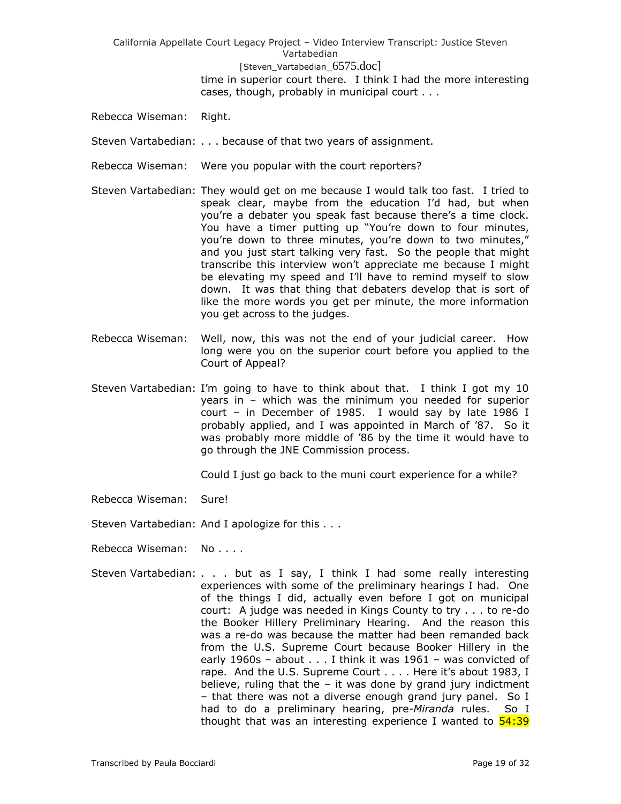California Appellate Court Legacy Project – Video Interview Transcript: Justice Steven Vartabedian [Steven\_Vartabedian\_6575.doc] time in superior court there. I think I had the more interesting cases, though, probably in municipal court . . .

Rebecca Wiseman: Right.

Steven Vartabedian: . . . because of that two years of assignment.

- Rebecca Wiseman: Were you popular with the court reporters?
- Steven Vartabedian: They would get on me because I would talk too fast. I tried to speak clear, maybe from the education I'd had, but when you're a debater you speak fast because there's a time clock. You have a timer putting up "You're down to four minutes, you're down to three minutes, you're down to two minutes," and you just start talking very fast. So the people that might transcribe this interview won't appreciate me because I might be elevating my speed and I'll have to remind myself to slow down. It was that thing that debaters develop that is sort of like the more words you get per minute, the more information you get across to the judges.
- Rebecca Wiseman: Well, now, this was not the end of your judicial career. How long were you on the superior court before you applied to the Court of Appeal?
- Steven Vartabedian: I'm going to have to think about that. I think I got my 10 years in – which was the minimum you needed for superior court – in December of 1985. I would say by late 1986 I probably applied, and I was appointed in March of '87. So it was probably more middle of '86 by the time it would have to go through the JNE Commission process.

Could I just go back to the muni court experience for a while?

Rebecca Wiseman: Sure!

Steven Vartabedian: And I apologize for this . . .

Rebecca Wiseman: No . . . .

Steven Vartabedian: . . . but as I say, I think I had some really interesting experiences with some of the preliminary hearings I had. One of the things I did, actually even before I got on municipal court: A judge was needed in Kings County to try . . . to re-do the Booker Hillery Preliminary Hearing. And the reason this was a re-do was because the matter had been remanded back from the U.S. Supreme Court because Booker Hillery in the early 1960s – about . . . I think it was 1961 – was convicted of rape. And the U.S. Supreme Court . . . . Here it's about 1983, I believe, ruling that the  $-$  it was done by grand jury indictment – that there was not a diverse enough grand jury panel. So I had to do a preliminary hearing, pre-*Miranda* rules. So I thought that was an interesting experience I wanted to  $\frac{54:39}{2}$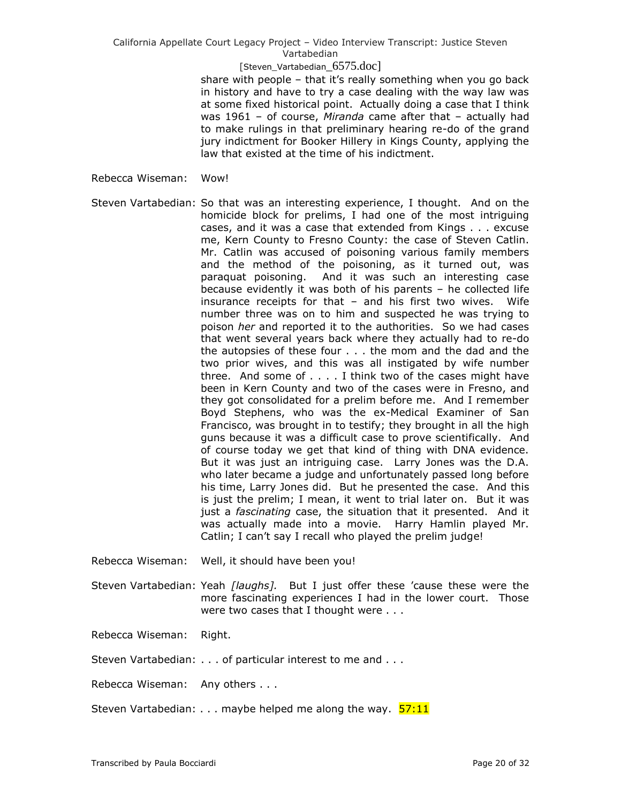# [Steven\_Vartabedian\_6575.doc]

share with people – that it's really something when you go back in history and have to try a case dealing with the way law was at some fixed historical point. Actually doing a case that I think was 1961 – of course, *Miranda* came after that – actually had to make rulings in that preliminary hearing re-do of the grand jury indictment for Booker Hillery in Kings County, applying the law that existed at the time of his indictment.

Rebecca Wiseman: Wow!

- Steven Vartabedian: So that was an interesting experience, I thought. And on the homicide block for prelims, I had one of the most intriguing cases, and it was a case that extended from Kings . . . excuse me, Kern County to Fresno County: the case of Steven Catlin. Mr. Catlin was accused of poisoning various family members and the method of the poisoning, as it turned out, was paraquat poisoning. And it was such an interesting case because evidently it was both of his parents – he collected life insurance receipts for that – and his first two wives. Wife number three was on to him and suspected he was trying to poison *her* and reported it to the authorities. So we had cases that went several years back where they actually had to re-do the autopsies of these four . . . the mom and the dad and the two prior wives, and this was all instigated by wife number three. And some of . . . . I think two of the cases might have been in Kern County and two of the cases were in Fresno, and they got consolidated for a prelim before me. And I remember Boyd Stephens, who was the ex-Medical Examiner of San Francisco, was brought in to testify; they brought in all the high guns because it was a difficult case to prove scientifically. And of course today we get that kind of thing with DNA evidence. But it was just an intriguing case. Larry Jones was the D.A. who later became a judge and unfortunately passed long before his time, Larry Jones did. But he presented the case. And this is just the prelim; I mean, it went to trial later on. But it was just a *fascinating* case, the situation that it presented. And it was actually made into a movie. Harry Hamlin played Mr. Catlin; I can't say I recall who played the prelim judge!
- Rebecca Wiseman: Well, it should have been you!
- Steven Vartabedian: Yeah *[laughs].* But I just offer these 'cause these were the more fascinating experiences I had in the lower court. Those were two cases that I thought were . . .

Rebecca Wiseman: Right.

Steven Vartabedian: . . . of particular interest to me and . . .

Rebecca Wiseman: Any others . . .

Steven Vartabedian: . . . maybe helped me along the way.  $57:11$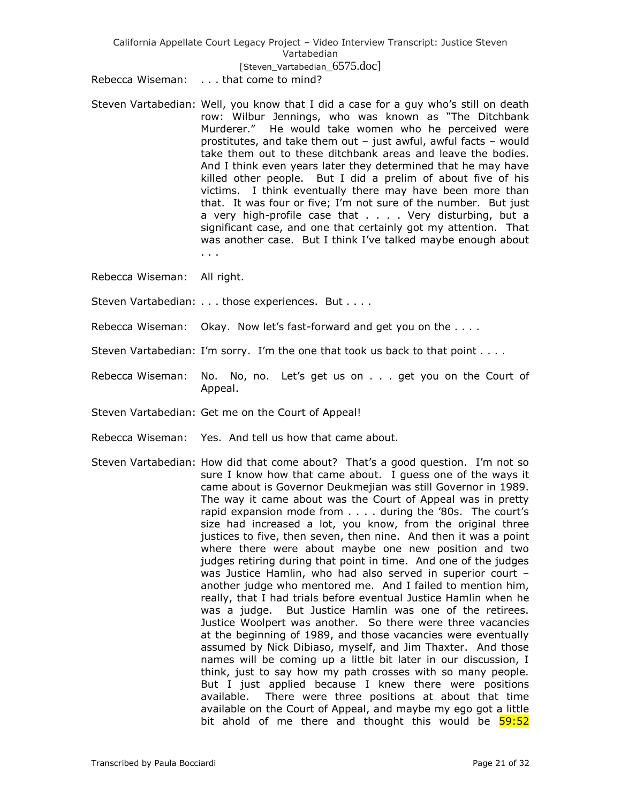# California Appellate Court Legacy Project – Video Interview Transcript: Justice Steven Vartabedian [Steven\_Vartabedian\_6575.doc]

Rebecca Wiseman: . . . that come to mind?

- Steven Vartabedian: Well, you know that I did a case for a guy who's still on death row: Wilbur Jennings, who was known as "The Ditchbank Murderer." He would take women who he perceived were prostitutes, and take them out – just awful, awful facts – would take them out to these ditchbank areas and leave the bodies. And I think even years later they determined that he may have killed other people. But I did a prelim of about five of his victims. I think eventually there may have been more than that. It was four or five; I'm not sure of the number. But just a very high-profile case that . . . . Very disturbing, but a significant case, and one that certainly got my attention. That was another case. But I think I've talked maybe enough about . . .
- Rebecca Wiseman: All right.
- Steven Vartabedian: . . . those experiences. But . . . .
- Rebecca Wiseman: Okay. Now let's fast-forward and get you on the . . . .
- Steven Vartabedian: I'm sorry. I'm the one that took us back to that point . . . .
- Rebecca Wiseman: No. No, no. Let's get us on . . . get you on the Court of Appeal.
- Steven Vartabedian: Get me on the Court of Appeal!
- Rebecca Wiseman: Yes. And tell us how that came about.
- Steven Vartabedian: How did that come about? That's a good question. I'm not so sure I know how that came about. I guess one of the ways it came about is Governor Deukmejian was still Governor in 1989. The way it came about was the Court of Appeal was in pretty rapid expansion mode from . . . . during the '80s. The court's size had increased a lot, you know, from the original three justices to five, then seven, then nine. And then it was a point where there were about maybe one new position and two judges retiring during that point in time. And one of the judges was Justice Hamlin, who had also served in superior court – another judge who mentored me. And I failed to mention him, really, that I had trials before eventual Justice Hamlin when he was a judge. But Justice Hamlin was one of the retirees. Justice Woolpert was another. So there were three vacancies at the beginning of 1989, and those vacancies were eventually assumed by Nick Dibiaso, myself, and Jim Thaxter. And those names will be coming up a little bit later in our discussion, I think, just to say how my path crosses with so many people. But I just applied because I knew there were positions available. There were three positions at about that time available on the Court of Appeal, and maybe my ego got a little bit ahold of me there and thought this would be  $59:52$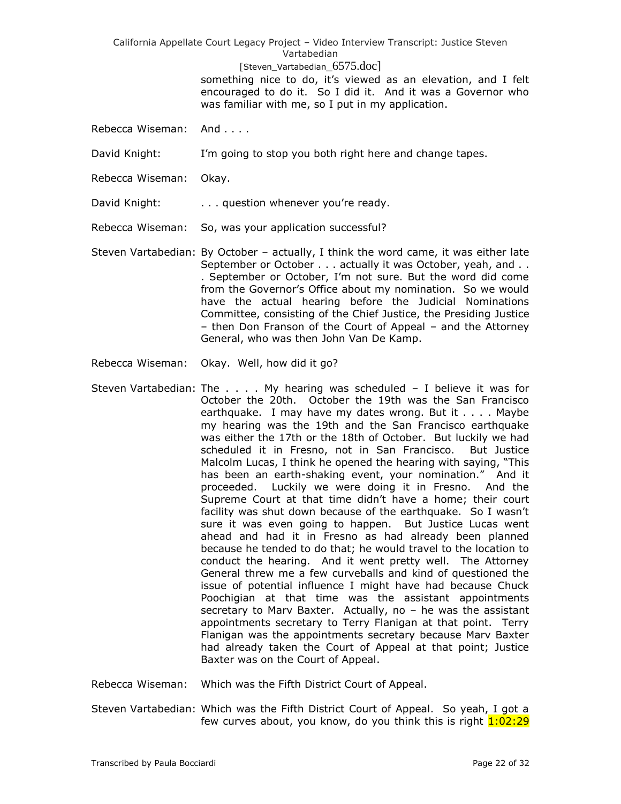[Steven\_Vartabedian\_6575.doc]

something nice to do, it's viewed as an elevation, and I felt encouraged to do it. So I did it. And it was a Governor who was familiar with me, so I put in my application.

- Rebecca Wiseman: And . . . .
- David Knight: I'm going to stop you both right here and change tapes.
- Rebecca Wiseman: Okay.
- David Knight: . . . . . question whenever you're ready.
- Rebecca Wiseman: So, was your application successful?
- Steven Vartabedian: By October actually, I think the word came, it was either late September or October . . . actually it was October, yeah, and . . . September or October, I'm not sure. But the word did come from the Governor's Office about my nomination. So we would have the actual hearing before the Judicial Nominations Committee, consisting of the Chief Justice, the Presiding Justice – then Don Franson of the Court of Appeal – and the Attorney General, who was then John Van De Kamp.
- Rebecca Wiseman: Okay. Well, how did it go?
- Steven Vartabedian: The . . . . My hearing was scheduled I believe it was for October the 20th. October the 19th was the San Francisco earthquake. I may have my dates wrong. But it . . . . Maybe my hearing was the 19th and the San Francisco earthquake was either the 17th or the 18th of October. But luckily we had scheduled it in Fresno, not in San Francisco. But Justice Malcolm Lucas, I think he opened the hearing with saying, "This has been an earth-shaking event, your nomination." And it proceeded. Luckily we were doing it in Fresno. And the Supreme Court at that time didn't have a home; their court facility was shut down because of the earthquake. So I wasn't sure it was even going to happen. But Justice Lucas went ahead and had it in Fresno as had already been planned because he tended to do that; he would travel to the location to conduct the hearing. And it went pretty well. The Attorney General threw me a few curveballs and kind of questioned the issue of potential influence I might have had because Chuck Poochigian at that time was the assistant appointments secretary to Marv Baxter. Actually, no – he was the assistant appointments secretary to Terry Flanigan at that point. Terry Flanigan was the appointments secretary because Marv Baxter had already taken the Court of Appeal at that point; Justice Baxter was on the Court of Appeal.
- Rebecca Wiseman: Which was the Fifth District Court of Appeal.
- Steven Vartabedian: Which was the Fifth District Court of Appeal. So yeah, I got a few curves about, you know, do you think this is right  $1:02:29$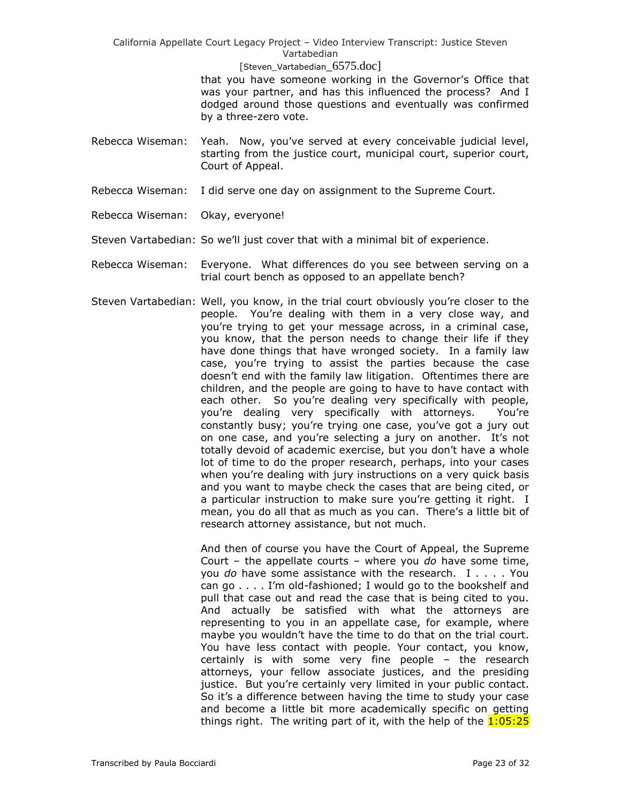#### [Steven\_Vartabedian\_6575.doc]

that you have someone working in the Governor's Office that was your partner, and has this influenced the process? And I dodged around those questions and eventually was confirmed by a three-zero vote.

- Rebecca Wiseman: Yeah. Now, you've served at every conceivable judicial level, starting from the justice court, municipal court, superior court, Court of Appeal.
- Rebecca Wiseman: I did serve one day on assignment to the Supreme Court.
- Rebecca Wiseman: Okay, everyone!

Steven Vartabedian: So we'll just cover that with a minimal bit of experience.

- Rebecca Wiseman: Everyone. What differences do you see between serving on a trial court bench as opposed to an appellate bench?
- Steven Vartabedian: Well, you know, in the trial court obviously you're closer to the people. You're dealing with them in a very close way, and you're trying to get your message across, in a criminal case, you know, that the person needs to change their life if they have done things that have wronged society. In a family law case, you're trying to assist the parties because the case doesn't end with the family law litigation. Oftentimes there are children, and the people are going to have to have contact with each other. So you're dealing very specifically with people, you're dealing very specifically with attorneys. You're constantly busy; you're trying one case, you've got a jury out on one case, and you're selecting a jury on another. It's not totally devoid of academic exercise, but you don't have a whole lot of time to do the proper research, perhaps, into your cases when you're dealing with jury instructions on a very quick basis and you want to maybe check the cases that are being cited, or a particular instruction to make sure you're getting it right. I mean, you do all that as much as you can. There's a little bit of research attorney assistance, but not much.

And then of course you have the Court of Appeal, the Supreme Court – the appellate courts – where you *do* have some time, you *do* have some assistance with the research. I . . . . You can go . . . . I'm old-fashioned; I would go to the bookshelf and pull that case out and read the case that is being cited to you. And actually be satisfied with what the attorneys are representing to you in an appellate case, for example, where maybe you wouldn't have the time to do that on the trial court. You have less contact with people. Your contact, you know, certainly is with some very fine people – the research attorneys, your fellow associate justices, and the presiding justice. But you're certainly very limited in your public contact. So it's a difference between having the time to study your case and become a little bit more academically specific on getting things right. The writing part of it, with the help of the  $1:05:25$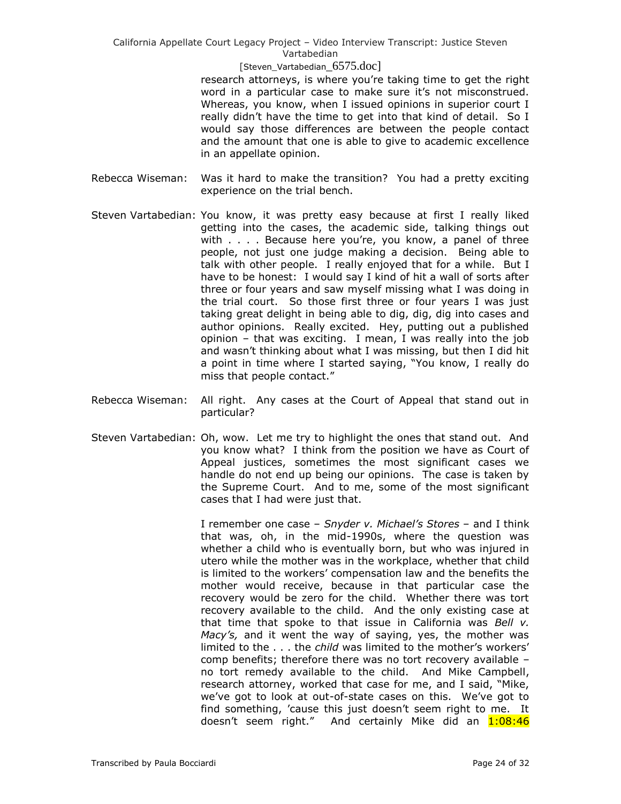## [Steven\_Vartabedian\_6575.doc]

research attorneys, is where you're taking time to get the right word in a particular case to make sure it's not misconstrued. Whereas, you know, when I issued opinions in superior court I really didn't have the time to get into that kind of detail. So I would say those differences are between the people contact and the amount that one is able to give to academic excellence in an appellate opinion.

- Rebecca Wiseman: Was it hard to make the transition? You had a pretty exciting experience on the trial bench.
- Steven Vartabedian: You know, it was pretty easy because at first I really liked getting into the cases, the academic side, talking things out with . . . . Because here you're, you know, a panel of three people, not just one judge making a decision. Being able to talk with other people. I really enjoyed that for a while. But I have to be honest: I would say I kind of hit a wall of sorts after three or four years and saw myself missing what I was doing in the trial court. So those first three or four years I was just taking great delight in being able to dig, dig, dig into cases and author opinions. Really excited. Hey, putting out a published opinion – that was exciting. I mean, I was really into the job and wasn't thinking about what I was missing, but then I did hit a point in time where I started saying, "You know, I really do miss that people contact."
- Rebecca Wiseman: All right. Any cases at the Court of Appeal that stand out in particular?
- Steven Vartabedian: Oh, wow. Let me try to highlight the ones that stand out. And you know what? I think from the position we have as Court of Appeal justices, sometimes the most significant cases we handle do not end up being our opinions. The case is taken by the Supreme Court. And to me, some of the most significant cases that I had were just that.

I remember one case – *Snyder v. Michael's Stores* – and I think that was, oh, in the mid-1990s, where the question was whether a child who is eventually born, but who was injured in utero while the mother was in the workplace, whether that child is limited to the workers' compensation law and the benefits the mother would receive, because in that particular case the recovery would be zero for the child. Whether there was tort recovery available to the child. And the only existing case at that time that spoke to that issue in California was *Bell v. Macy's,* and it went the way of saying, yes, the mother was limited to the . . . the *child* was limited to the mother's workers' comp benefits; therefore there was no tort recovery available – no tort remedy available to the child. And Mike Campbell, research attorney, worked that case for me, and I said, "Mike, we've got to look at out-of-state cases on this. We've got to find something, 'cause this just doesn't seem right to me. It doesn't seem right." And certainly Mike did an 1:08:46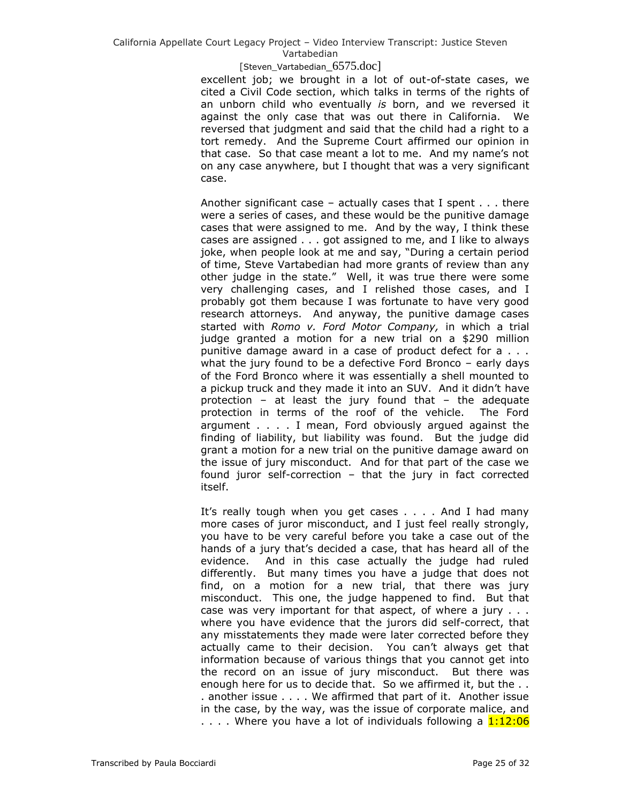## [Steven\_Vartabedian\_6575.doc]

excellent job; we brought in a lot of out-of-state cases, we cited a Civil Code section, which talks in terms of the rights of an unborn child who eventually *is* born, and we reversed it against the only case that was out there in California. We reversed that judgment and said that the child had a right to a tort remedy. And the Supreme Court affirmed our opinion in that case. So that case meant a lot to me. And my name's not on any case anywhere, but I thought that was a very significant case.

Another significant case  $-$  actually cases that I spent  $\ldots$  there were a series of cases, and these would be the punitive damage cases that were assigned to me. And by the way, I think these cases are assigned . . . got assigned to me, and I like to always joke, when people look at me and say, "During a certain period of time, Steve Vartabedian had more grants of review than any other judge in the state." Well, it was true there were some very challenging cases, and I relished those cases, and I probably got them because I was fortunate to have very good research attorneys. And anyway, the punitive damage cases started with *Romo v. Ford Motor Company,* in which a trial judge granted a motion for a new trial on a \$290 million punitive damage award in a case of product defect for a . . . what the jury found to be a defective Ford Bronco – early days of the Ford Bronco where it was essentially a shell mounted to a pickup truck and they made it into an SUV. And it didn't have protection – at least the jury found that – the adequate protection in terms of the roof of the vehicle. The Ford argument . . . . I mean, Ford obviously argued against the finding of liability, but liability was found. But the judge did grant a motion for a new trial on the punitive damage award on the issue of jury misconduct. And for that part of the case we found juror self-correction – that the jury in fact corrected itself.

It's really tough when you get cases . . . . And I had many more cases of juror misconduct, and I just feel really strongly, you have to be very careful before you take a case out of the hands of a jury that's decided a case, that has heard all of the evidence. And in this case actually the judge had ruled differently. But many times you have a judge that does not find, on a motion for a new trial, that there was jury misconduct. This one, the judge happened to find. But that case was very important for that aspect, of where a jury . . . where you have evidence that the jurors did self-correct, that any misstatements they made were later corrected before they actually came to their decision. You can't always get that information because of various things that you cannot get into the record on an issue of jury misconduct. But there was enough here for us to decide that. So we affirmed it, but the . . . another issue . . . . We affirmed that part of it. Another issue in the case, by the way, was the issue of corporate malice, and .... Where you have a lot of individuals following a 1:12:06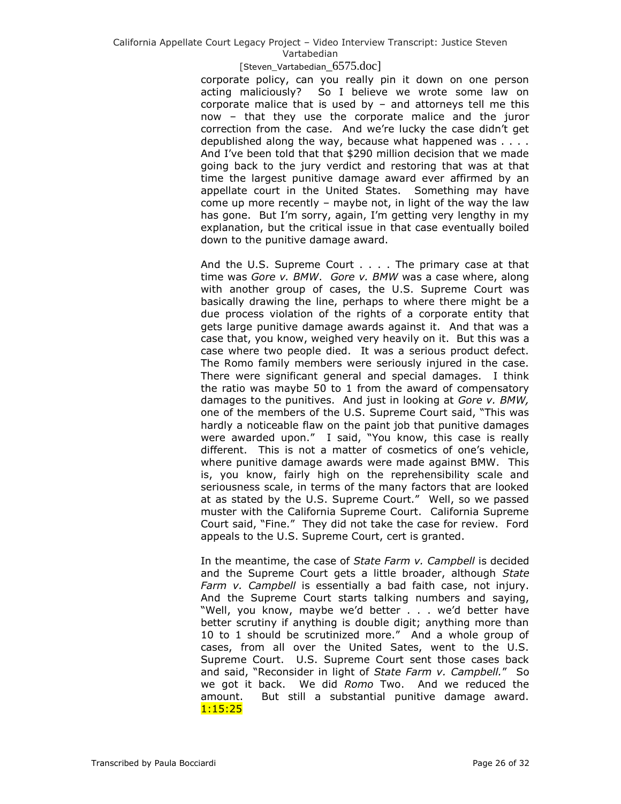### [Steven\_Vartabedian\_6575.doc]

corporate policy, can you really pin it down on one person acting maliciously? So I believe we wrote some law on corporate malice that is used by  $-$  and attorneys tell me this now – that they use the corporate malice and the juror correction from the case. And we're lucky the case didn't get depublished along the way, because what happened was . . . . And I've been told that that \$290 million decision that we made going back to the jury verdict and restoring that was at that time the largest punitive damage award ever affirmed by an appellate court in the United States. Something may have come up more recently – maybe not, in light of the way the law has gone. But I'm sorry, again, I'm getting very lengthy in my explanation, but the critical issue in that case eventually boiled down to the punitive damage award.

And the U.S. Supreme Court . . . . The primary case at that time was *Gore v. BMW*. *Gore v. BMW* was a case where, along with another group of cases, the U.S. Supreme Court was basically drawing the line, perhaps to where there might be a due process violation of the rights of a corporate entity that gets large punitive damage awards against it. And that was a case that, you know, weighed very heavily on it. But this was a case where two people died. It was a serious product defect. The Romo family members were seriously injured in the case. There were significant general and special damages. I think the ratio was maybe 50 to 1 from the award of compensatory damages to the punitives. And just in looking at *Gore v. BMW,* one of the members of the U.S. Supreme Court said, "This was hardly a noticeable flaw on the paint job that punitive damages were awarded upon." I said, "You know, this case is really different. This is not a matter of cosmetics of one's vehicle, where punitive damage awards were made against BMW. This is, you know, fairly high on the reprehensibility scale and seriousness scale, in terms of the many factors that are looked at as stated by the U.S. Supreme Court." Well, so we passed muster with the California Supreme Court. California Supreme Court said, "Fine." They did not take the case for review. Ford appeals to the U.S. Supreme Court, cert is granted.

In the meantime, the case of *State Farm v. Campbell* is decided and the Supreme Court gets a little broader, although *State Farm v. Campbell* is essentially a bad faith case, not injury. And the Supreme Court starts talking numbers and saying, "Well, you know, maybe we'd better . . . we'd better have better scrutiny if anything is double digit; anything more than 10 to 1 should be scrutinized more." And a whole group of cases, from all over the United Sates, went to the U.S. Supreme Court. U.S. Supreme Court sent those cases back and said, "Reconsider in light of *State Farm v. Campbell.*" So we got it back. We did *Romo* Two. And we reduced the amount. But still a substantial punitive damage award. 1:15:25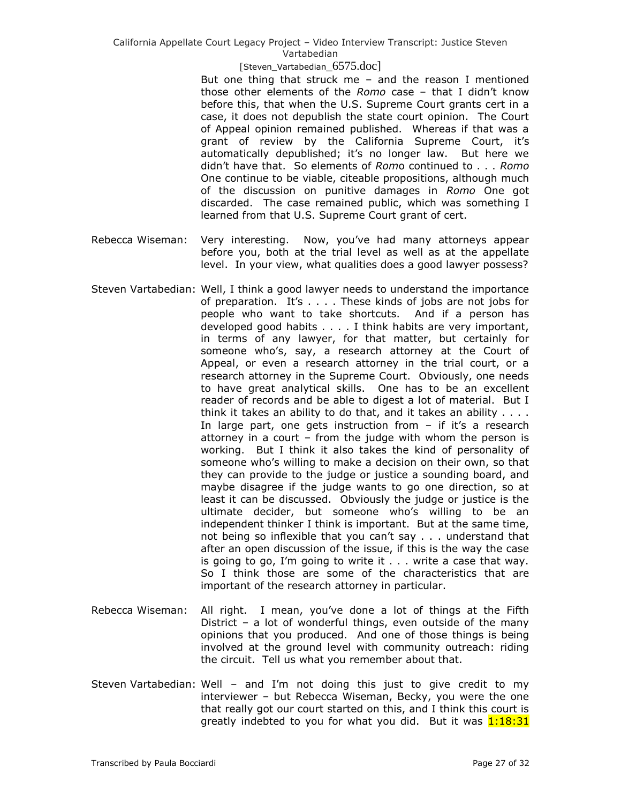### [Steven\_Vartabedian\_6575.doc]

But one thing that struck me – and the reason I mentioned those other elements of the *Romo* case – that I didn't know before this, that when the U.S. Supreme Court grants cert in a case, it does not depublish the state court opinion. The Court of Appeal opinion remained published. Whereas if that was a grant of review by the California Supreme Court, it's automatically depublished; it's no longer law. But here we didn't have that. So elements of *Rom*o continued to . . . *Romo* One continue to be viable, citeable propositions, although much of the discussion on punitive damages in *Romo* One got discarded. The case remained public, which was something I learned from that U.S. Supreme Court grant of cert.

- Rebecca Wiseman: Very interesting. Now, you've had many attorneys appear before you, both at the trial level as well as at the appellate level. In your view, what qualities does a good lawyer possess?
- Steven Vartabedian: Well, I think a good lawyer needs to understand the importance of preparation. It's . . . . These kinds of jobs are not jobs for people who want to take shortcuts. And if a person has developed good habits . . . . I think habits are very important, in terms of any lawyer, for that matter, but certainly for someone who's, say, a research attorney at the Court of Appeal, or even a research attorney in the trial court, or a research attorney in the Supreme Court. Obviously, one needs to have great analytical skills. One has to be an excellent reader of records and be able to digest a lot of material. But I think it takes an ability to do that, and it takes an ability . . . . In large part, one gets instruction from - if it's a research attorney in a court – from the judge with whom the person is working. But I think it also takes the kind of personality of someone who's willing to make a decision on their own, so that they can provide to the judge or justice a sounding board, and maybe disagree if the judge wants to go one direction, so at least it can be discussed. Obviously the judge or justice is the ultimate decider, but someone who's willing to be an independent thinker I think is important. But at the same time, not being so inflexible that you can't say . . . understand that after an open discussion of the issue, if this is the way the case is going to go, I'm going to write it . . . write a case that way. So I think those are some of the characteristics that are important of the research attorney in particular.
- Rebecca Wiseman: All right. I mean, you've done a lot of things at the Fifth District – a lot of wonderful things, even outside of the many opinions that you produced. And one of those things is being involved at the ground level with community outreach: riding the circuit. Tell us what you remember about that.
- Steven Vartabedian: Well and I'm not doing this just to give credit to my interviewer – but Rebecca Wiseman, Becky, you were the one that really got our court started on this, and I think this court is greatly indebted to you for what you did. But it was  $1:18:31$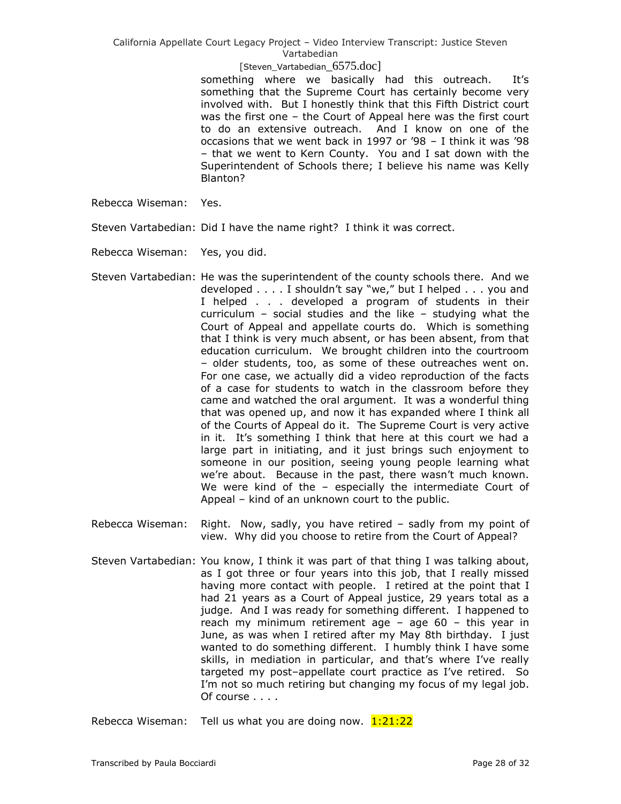## [Steven\_Vartabedian\_6575.doc]

something where we basically had this outreach. It's something that the Supreme Court has certainly become very involved with. But I honestly think that this Fifth District court was the first one – the Court of Appeal here was the first court to do an extensive outreach. And I know on one of the occasions that we went back in 1997 or '98 – I think it was '98 – that we went to Kern County. You and I sat down with the Superintendent of Schools there; I believe his name was Kelly Blanton?

Rebecca Wiseman: Yes.

Steven Vartabedian: Did I have the name right? I think it was correct.

Rebecca Wiseman: Yes, you did.

- Steven Vartabedian: He was the superintendent of the county schools there. And we developed . . . . I shouldn't say "we," but I helped . . . you and I helped . . . developed a program of students in their curriculum – social studies and the like – studying what the Court of Appeal and appellate courts do. Which is something that I think is very much absent, or has been absent, from that education curriculum. We brought children into the courtroom – older students, too, as some of these outreaches went on. For one case, we actually did a video reproduction of the facts of a case for students to watch in the classroom before they came and watched the oral argument. It was a wonderful thing that was opened up, and now it has expanded where I think all of the Courts of Appeal do it. The Supreme Court is very active in it. It's something I think that here at this court we had a large part in initiating, and it just brings such enjoyment to someone in our position, seeing young people learning what we're about. Because in the past, there wasn't much known. We were kind of the - especially the intermediate Court of Appeal – kind of an unknown court to the public.
- Rebecca Wiseman: Right. Now, sadly, you have retired sadly from my point of view. Why did you choose to retire from the Court of Appeal?
- Steven Vartabedian: You know, I think it was part of that thing I was talking about, as I got three or four years into this job, that I really missed having more contact with people. I retired at the point that I had 21 years as a Court of Appeal justice, 29 years total as a judge. And I was ready for something different. I happened to reach my minimum retirement age  $-$  age 60  $-$  this year in June, as was when I retired after my May 8th birthday. I just wanted to do something different. I humbly think I have some skills, in mediation in particular, and that's where I've really targeted my post–appellate court practice as I've retired. So I'm not so much retiring but changing my focus of my legal job. Of course . . . .

Rebecca Wiseman: Tell us what you are doing now.  $1:21:22$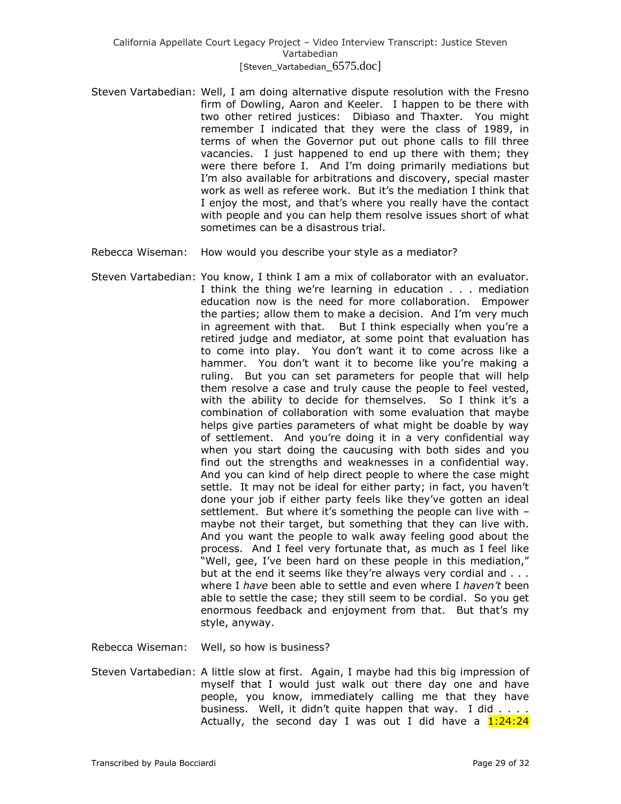# California Appellate Court Legacy Project – Video Interview Transcript: Justice Steven Vartabedian [Steven\_Vartabedian\_6575.doc]

- Steven Vartabedian: Well, I am doing alternative dispute resolution with the Fresno firm of Dowling, Aaron and Keeler. I happen to be there with two other retired justices: Dibiaso and Thaxter. You might remember I indicated that they were the class of 1989, in terms of when the Governor put out phone calls to fill three vacancies. I just happened to end up there with them; they were there before I. And I'm doing primarily mediations but I'm also available for arbitrations and discovery, special master work as well as referee work. But it's the mediation I think that I enjoy the most, and that's where you really have the contact with people and you can help them resolve issues short of what sometimes can be a disastrous trial.
- Rebecca Wiseman: How would you describe your style as a mediator?
- Steven Vartabedian: You know, I think I am a mix of collaborator with an evaluator. I think the thing we're learning in education . . . mediation education now is the need for more collaboration. Empower the parties; allow them to make a decision. And I'm very much in agreement with that. But I think especially when you're a retired judge and mediator, at some point that evaluation has to come into play. You don't want it to come across like a hammer. You don't want it to become like you're making a ruling. But you can set parameters for people that will help them resolve a case and truly cause the people to feel vested, with the ability to decide for themselves. So I think it's a combination of collaboration with some evaluation that maybe helps give parties parameters of what might be doable by way of settlement. And you're doing it in a very confidential way when you start doing the caucusing with both sides and you find out the strengths and weaknesses in a confidential way. And you can kind of help direct people to where the case might settle. It may not be ideal for either party; in fact, you haven't done your job if either party feels like they've gotten an ideal settlement. But where it's something the people can live with – maybe not their target, but something that they can live with. And you want the people to walk away feeling good about the process. And I feel very fortunate that, as much as I feel like "Well, gee, I've been hard on these people in this mediation," but at the end it seems like they're always very cordial and . . . where I *have* been able to settle and even where I *haven't* been able to settle the case; they still seem to be cordial. So you get enormous feedback and enjoyment from that. But that's my style, anyway.

Rebecca Wiseman: Well, so how is business?

Steven Vartabedian: A little slow at first. Again, I maybe had this big impression of myself that I would just walk out there day one and have people, you know, immediately calling me that they have business. Well, it didn't quite happen that way. I did . . . . Actually, the second day I was out I did have a  $1:24:24$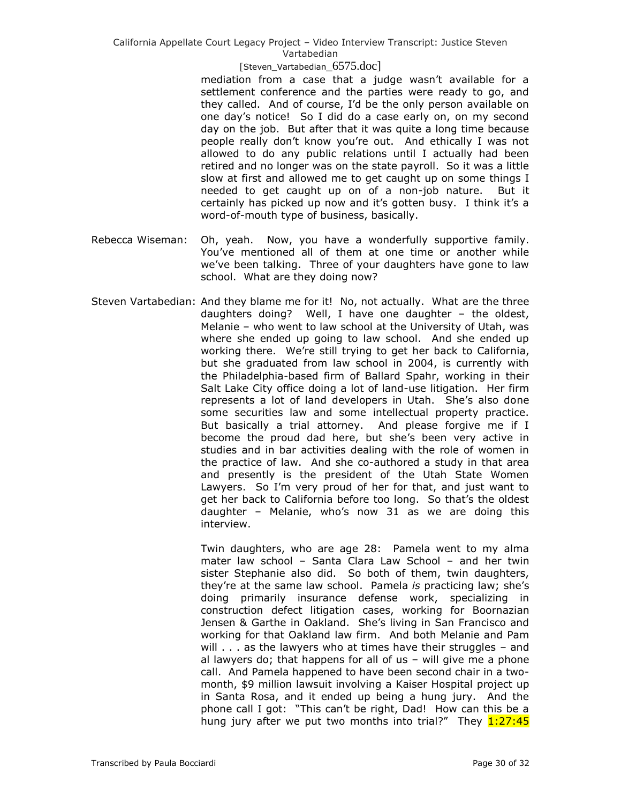### [Steven\_Vartabedian\_6575.doc]

mediation from a case that a judge wasn't available for a settlement conference and the parties were ready to go, and they called. And of course, I'd be the only person available on one day's notice! So I did do a case early on, on my second day on the job. But after that it was quite a long time because people really don't know you're out. And ethically I was not allowed to do any public relations until I actually had been retired and no longer was on the state payroll. So it was a little slow at first and allowed me to get caught up on some things I needed to get caught up on of a non-job nature. But it certainly has picked up now and it's gotten busy. I think it's a word-of-mouth type of business, basically.

- Rebecca Wiseman: Oh, yeah. Now, you have a wonderfully supportive family. You've mentioned all of them at one time or another while we've been talking. Three of your daughters have gone to law school. What are they doing now?
- Steven Vartabedian: And they blame me for it! No, not actually. What are the three daughters doing? Well, I have one daughter – the oldest, Melanie – who went to law school at the University of Utah, was where she ended up going to law school. And she ended up working there. We're still trying to get her back to California, but she graduated from law school in 2004, is currently with the Philadelphia-based firm of Ballard Spahr, working in their Salt Lake City office doing a lot of land-use litigation. Her firm represents a lot of land developers in Utah. She's also done some securities law and some intellectual property practice. But basically a trial attorney. And please forgive me if I become the proud dad here, but she's been very active in studies and in bar activities dealing with the role of women in the practice of law. And she co-authored a study in that area and presently is the president of the Utah State Women Lawyers. So I'm very proud of her for that, and just want to get her back to California before too long. So that's the oldest daughter – Melanie, who's now 31 as we are doing this interview.

Twin daughters, who are age 28: Pamela went to my alma mater law school – Santa Clara Law School – and her twin sister Stephanie also did. So both of them, twin daughters, they're at the same law school. Pamela *is* practicing law; she's doing primarily insurance defense work, specializing in construction defect litigation cases, working for Boornazian Jensen & Garthe in Oakland. She's living in San Francisco and working for that Oakland law firm. And both Melanie and Pam will . . . as the lawyers who at times have their struggles - and al lawyers do; that happens for all of us – will give me a phone call. And Pamela happened to have been second chair in a twomonth, \$9 million lawsuit involving a Kaiser Hospital project up in Santa Rosa, and it ended up being a hung jury. And the phone call I got: "This can't be right, Dad! How can this be a hung jury after we put two months into trial?" They  $1:27:45$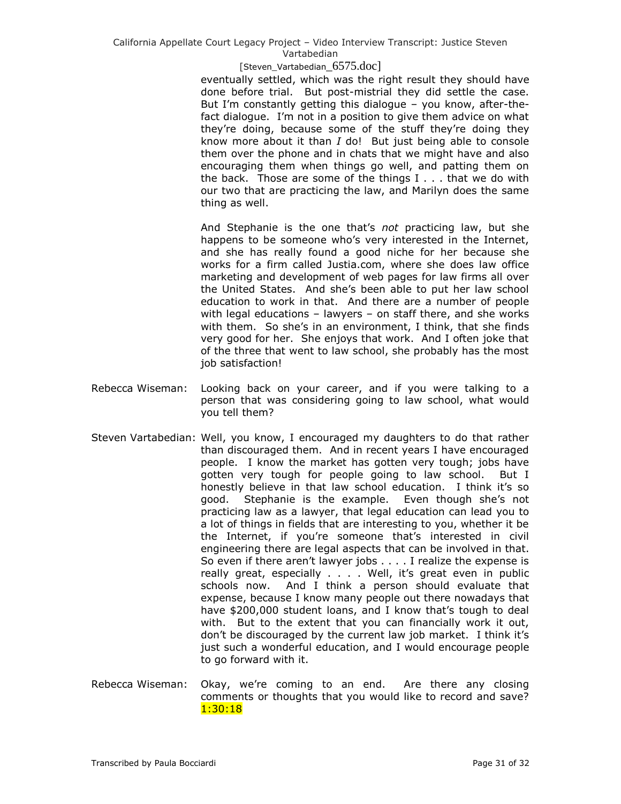## [Steven\_Vartabedian\_6575.doc]

eventually settled, which was the right result they should have done before trial. But post-mistrial they did settle the case. But I'm constantly getting this dialogue – you know, after-thefact dialogue. I'm not in a position to give them advice on what they're doing, because some of the stuff they're doing they know more about it than *I* do! But just being able to console them over the phone and in chats that we might have and also encouraging them when things go well, and patting them on the back. Those are some of the things I . . . that we do with our two that are practicing the law, and Marilyn does the same thing as well.

And Stephanie is the one that's *not* practicing law, but she happens to be someone who's very interested in the Internet, and she has really found a good niche for her because she works for a firm called Justia.com, where she does law office marketing and development of web pages for law firms all over the United States. And she's been able to put her law school education to work in that. And there are a number of people with legal educations – lawyers – on staff there, and she works with them. So she's in an environment, I think, that she finds very good for her. She enjoys that work. And I often joke that of the three that went to law school, she probably has the most job satisfaction!

- Rebecca Wiseman: Looking back on your career, and if you were talking to a person that was considering going to law school, what would you tell them?
- Steven Vartabedian: Well, you know, I encouraged my daughters to do that rather than discouraged them. And in recent years I have encouraged people. I know the market has gotten very tough; jobs have gotten very tough for people going to law school. But I honestly believe in that law school education. I think it's so good. Stephanie is the example. Even though she's not practicing law as a lawyer, that legal education can lead you to a lot of things in fields that are interesting to you, whether it be the Internet, if you're someone that's interested in civil engineering there are legal aspects that can be involved in that. So even if there aren't lawyer jobs . . . . I realize the expense is really great, especially . . . . Well, it's great even in public schools now. And I think a person should evaluate that expense, because I know many people out there nowadays that have \$200,000 student loans, and I know that's tough to deal with. But to the extent that you can financially work it out, don't be discouraged by the current law job market. I think it's just such a wonderful education, and I would encourage people to go forward with it.
- Rebecca Wiseman: Okay, we're coming to an end. Are there any closing comments or thoughts that you would like to record and save? 1:30:18